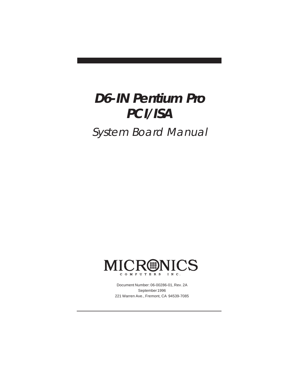# **D6-IN Pentium Pro PCI/ISA**

System Board Manual



Document Number: 06-00286-01, Rev. 2A September 1996 221 Warren Ave., Fremont, CA 94539-7085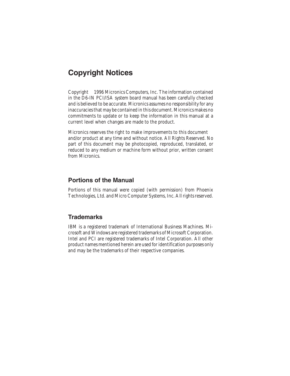### Copyright Notices

2 in the D6-IN PCI/ISA system board manual has been carefully checked Copyright © 1996 Micronics Computers, Inc. The information contained and is believed to be accurate. Micronics assumes no responsibility for any inaccuracies that may be contained in this document. Micronics makes no commitments to update or to keep the information in this manual at a current level when changes are made to the product.

Micronics reserves the right to make improvements to this document and/or product at any time and without notice. All Rights Reserved. No part of this document may be photocopied, reproduced, translated, or reduced to any medium or machine form without prior, written consent from Micronics.

#### Portions of the Manual

Portions of this manual were copied (with permission) from Phoenix Technologies, Ltd. and Micro Computer Systems, Inc. All rights reserved.

#### **Trademarks**

IBM is a registered trademark of International Business Machines. Microsoft and Windows are registered trademarks of Microsoft Corporation. Intel and PCI are registered trademarks of Intel Corporation. All other product names mentioned herein are used for identification purposes only and may be the trademarks of their respective companies.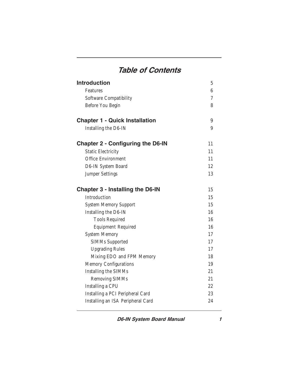# Table of Contents

| 6  |
|----|
| 7  |
| 8  |
| 9  |
| 9  |
| 11 |
| 11 |
| 11 |
| 12 |
| 13 |
| 15 |
| 15 |
| 15 |
| 16 |
| 16 |
| 16 |
| 17 |
| 17 |
| 17 |
| 18 |
| 19 |
| 21 |
| 21 |
| 22 |
| 23 |
| 24 |
|    |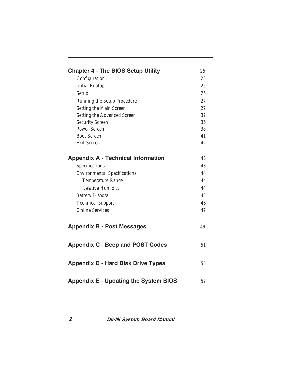| <b>Chapter 4 - The BIOS Setup Utility</b>    | 25 |
|----------------------------------------------|----|
| Configuration                                | 25 |
| <b>Initial Bootup</b>                        | 25 |
| Setup                                        | 25 |
| Running the Setup Procedure                  | 27 |
| Setting the Main Screen                      | 27 |
| Setting the Advanced Screen                  | 32 |
| Security Screen                              | 35 |
| Power Screen                                 | 38 |
| <b>Boot Screen</b>                           | 41 |
| <b>Exit Screen</b>                           | 42 |
|                                              |    |
| <b>Appendix A - Technical Information</b>    | 43 |
| Specifications                               | 43 |
| <b>Environmental Specifications</b>          | 44 |
| Temperature Range                            | 44 |
| Relative Humidity                            | 44 |
| <b>Battery Disposal</b>                      | 45 |
| <b>Technical Support</b>                     | 46 |
| <b>Online Services</b>                       | 47 |
|                                              |    |
| <b>Appendix B - Post Messages</b>            | 49 |
|                                              |    |
|                                              |    |
| <b>Appendix C - Beep and POST Codes</b>      | 51 |
|                                              |    |
| <b>Appendix D - Hard Disk Drive Types</b>    | 55 |
|                                              |    |
| <b>Appendix E - Updating the System BIOS</b> | 57 |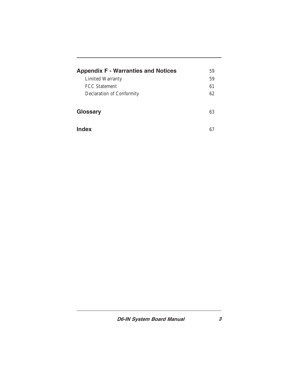| <b>Appendix F - Warranties and Notices</b> | 59 |
|--------------------------------------------|----|
| Limited Warranty                           | 59 |
| <b>FCC Statement</b>                       | 61 |
| Declaration of Conformity                  | 62 |
|                                            |    |
| Glossary                                   | 63 |
|                                            |    |
| Index                                      |    |
|                                            |    |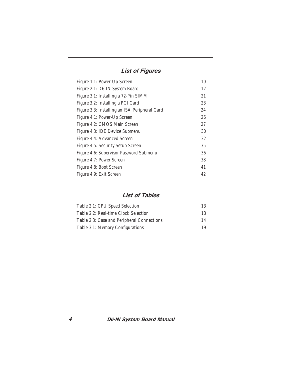### List of Figures

| Figure 1.1: Power-Up Screen                   | 10 |
|-----------------------------------------------|----|
| Figure 2.1: D6-IN System Board                | 12 |
| Figure 3.1: Installing a 72-Pin SIMM          | 21 |
| Figure 3.2: Installing a PCI Card             | 23 |
| Figure 3.3: Installing an ISA Peripheral Card | 24 |
| Figure 4.1: Power-Up Screen                   | 26 |
| Figure 4.2: CMOS Main Screen                  | 27 |
| Figure 4.3: IDE Device Submenu                | 30 |
| Figure 4.4: Advanced Screen                   | 32 |
| Figure 4.5: Security Setup Screen             | 35 |
| Figure 4.6: Supervisor Password Submenu       | 36 |
| Figure 4.7: Power Screen                      | 38 |
| Figure 4.8: Boot Screen                       | 41 |
| Figure 4.9: Exit Screen                       | 42 |
|                                               |    |

### List of Tables

| Table 2.1: CPU Speed Selection             | 13 |
|--------------------------------------------|----|
| Table 2.2: Real-time Clock Selection       | 13 |
| Table 2.3: Case and Peripheral Connections | 14 |
| Table 3.1: Memory Configurations           | 19 |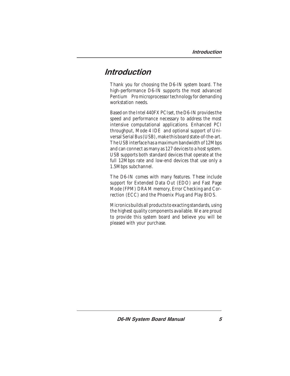### **Introduction**

Thank you for choosing the D6-IN system board. The high-performance D6-IN supports the most advanced Pentium<sup>®</sup> Promicroprocessor technology for demanding workstation needs.

Based on the Intel 440FX PCIset, the D6-IN provides the speed and performance necessary to address the most intensive computational applications. Enhanced PCI throughput, Mode 4 IDE and optional support of Universal Serial Bus (USB), make this board state-of-the-art. The USB interface has a maximum bandwidth of 12Mbps and can connect as many as 127 devices to a host system. USB supports both standard devices that operate at the full 12Mbps rate and low-end devices that use only a 1.5Mbps subchannel.

The D6-IN comes with many features. These include support for Extended Data Out (EDO) and Fast Page Mode (FPM) DRAM memory, Error Checking and Correction (ECC) and the Phoenix Plug and Play BIOS.

Micronics builds all products to exacting standards, using the highest quality components available. We are proud to provide this system board and believe you will be pleased with your purchase.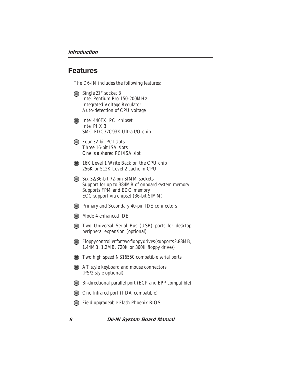### Features

The D6-IN includes the following features:

- Single ZIF socket 8 Intel Pentium Pro 150-200MHz Integrated Voltage Regulator Auto-detection of CPU voltage
- **Intel 440FX PCI chipset** Intel PIIX 3 SMC FDC37C93X Ultra I/O chip
- **Example 32-bit PCI slots** Three 16-bit ISA slots One is a shared PCI/ISA slot
- 16K Level 1 Write Back on the CPU chip 256K or 512K Level 2 cache in CPU
- Six 32/36-bit 72-pin SIMM sockets Support for up to 384MB of onboard system memory Supports FPM and EDO memory ECC support via chipset (36-bit SIMM)
- **Primary and Secondary 40-pin IDE connectors**
- **Mode 4 enhanced IDE**
- **Two Universal Serial Bus (USB) ports for desktop** peripheral expansion (optional)
- Floppy controller for two floppy drives (supports 2.88MB, 1.44MB, 1.2MB, 720K or 360K floppy drives)
- **Two high speed NS16550 compatible serial ports**
- AT style keyboard and mouse connectors (PS/2 style optional)
- Bi-directional parallel port (ECP and EPP compatible)
- One Infrared port (IrDA compatible)
- Field upgradeable Flash Phoenix BIOS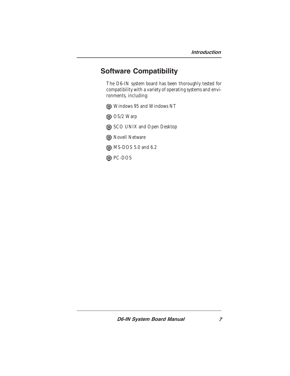### Software Compatibility

The D6-IN system board has been thoroughly tested for compatibility with a variety of operating systems and environments, including:

Windows 95 and Windows NT

OS/2 Warp

SCO UNIX and Open Desktop

**B** Novell Netware

**6** MS-DOS 5.0 and 6.2

**O** PC-DOS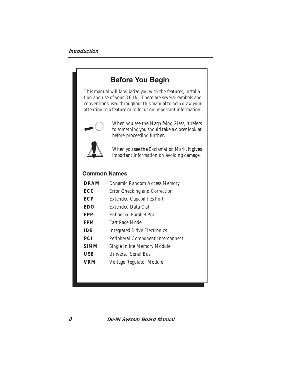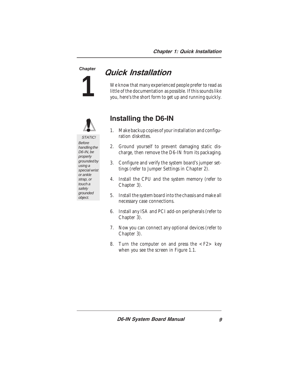**1**

# Chapter **Quick Installation**

We know that many experienced people prefer to read as little of the documentation as possible. If this sounds like you, here's the short form to get up and running quickly.



### Installing the D6-IN

- 1. Make backup copies of your installation and configuration diskettes.
- 2. Ground yourself to prevent damaging static discharge, then remove the D6-IN from its packaging.
- 3. Configure and verify the system board's jumper settings (refer to Jumper Settings in Chapter 2).
- 4. Install the CPU and the system memory (refer to Chapter 3).
- 5. Install the system board into the chassis and make all necessary case connections.
- 6. Install any ISA and PCI add-on peripherals (refer to Chapter 3).
- 7. Now you can connect any optional devices (refer to Chapter 3).
- 8. Turn the computer on and press the  $\langle F2 \rangle$  key when you see the screen in Figure 1.1.

STATIC! Before handling the D6-IN, be properly grounded by using a special wrist or ankle strap, or touch a safely grounded object.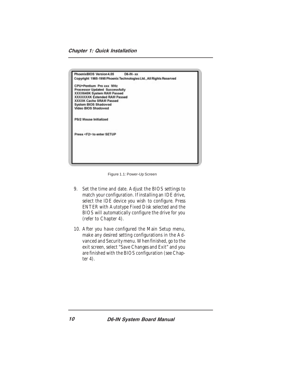Chapter 1: Quick Installation



Figure 1.1: Power-Up Screen

- 9. Set the time and date. Adjust the BIOS settings to match your configuration. If installing an IDE drive, select the IDE device you wish to configure. Press ENTER with Autotype Fixed Disk selected and the BIOS will automatically configure the drive for you (refer to Chapter 4).
- 10. After you have configured the Main Setup menu, make any desired setting configurations in the Advanced and Security menu. When finished, go to the exit screen, select "Save Changes and Exit" and you are finished with the BIOS configuration (see Chapter 4).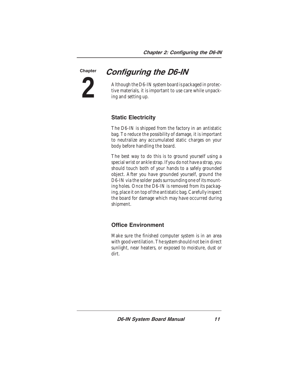**2 Chapter** 

### Configuring the D6-IN

Although the D6-IN system board is packaged in protective materials, it is important to use care while unpacking and setting up.

#### Static Electricity

The D6-IN is shipped from the factory in an antistatic bag. To reduce the possibility of damage, it is important to neutralize any accumulated static charges on your body before handling the board.

The best way to do this is to ground yourself using a special wrist or ankle strap. If you do not have a strap, you should touch both of your hands to a safely grounded object. After you have grounded yourself, ground the D6-IN via the solder pads surrounding one of its mounting holes. Once the D6-IN is removed from its packaging, place it on top of the antistatic bag. Carefully inspect the board for damage which may have occurred during shipment.

#### Office Environment

Make sure the finished computer system is in an area with good ventilation. The system should not be in direct sunlight, near heaters, or exposed to moisture, dust or dirt.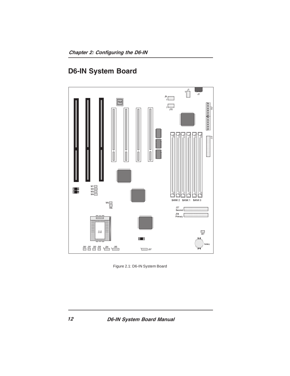

### D6-IN System Board

Figure 2.1: D6-IN System Board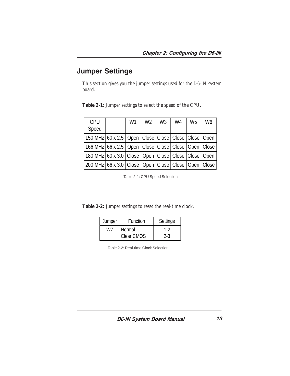### Jumper Settings

This section gives you the jumper settings used for the D6-IN system board.

| <b>CPU</b>                                                     | W1 | W <sub>2</sub> | W3 | W4 | W <sub>5</sub> | W <sub>6</sub> |
|----------------------------------------------------------------|----|----------------|----|----|----------------|----------------|
| Speed                                                          |    |                |    |    |                |                |
| 150 MHz 60 x 2.5   Open   Close   Close   Close   Close   Open |    |                |    |    |                |                |
| 166 MHz 66 x 2.5   Open   Close   Close   Close   Open   Close |    |                |    |    |                |                |
| 180 MHz 60 x 3.0 Close   Open   Close   Close   Close   Open   |    |                |    |    |                |                |
| 200 MHz 66 x 3.0 Close   Open   Close   Close   Open   Close   |    |                |    |    |                |                |

**Table 2-1:** Jumper settings to select the speed of the CPU.

Table 2-1: CPU Speed Selection

**Table 2-2:** Jumper settings to reset the real-time clock.

| Jumper | Function          | Settings |
|--------|-------------------|----------|
| W7     | <b>Normal</b>     | 1-2      |
|        | <b>Clear CMOS</b> | $2 - 3$  |

Table 2-2: Real-time Clock Selection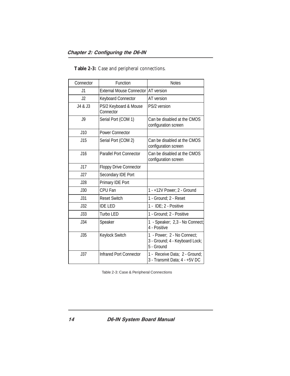#### Chapter 2: Configuring the D6-IN

| Connector | Function                           | <b>Notes</b>                                                               |
|-----------|------------------------------------|----------------------------------------------------------------------------|
| J1        | <b>External Mouse Connector</b>    | AT version                                                                 |
| J2        | <b>Keyboard Connector</b>          | AT version                                                                 |
| J4 & J3   | PS/2 Keyboard & Mouse<br>Connector | PS/2 version                                                               |
| J9        | Serial Port (COM 1)                | Can be disabled at the CMOS<br>configuration screen                        |
| J10       | <b>Power Connector</b>             |                                                                            |
| J15       | Serial Port (COM 2)                | Can be disabled at the CMOS<br>configuration screen                        |
| J16       | <b>Parallel Port Connector</b>     | Can be disabled at the CMOS<br>configuration screen                        |
| J17       | <b>Floppy Drive Connector</b>      |                                                                            |
| J27       | Secondary IDE Port                 |                                                                            |
| J28       | Primary IDE Port                   |                                                                            |
| J30       | CPU Fan                            | 1 - +12V Power; 2 - Ground                                                 |
| J31       | <b>Reset Switch</b>                | 1 - Ground; 2 - Reset                                                      |
| J32       | <b>IDE LED</b>                     | 1 - IDE; 2 - Positive                                                      |
| J33       | Turbo LED                          | 1 - Ground; 2 - Positive                                                   |
| J34       | Speaker                            | 1 - Speaker; 2,3 - No Connect;<br>4 - Positive                             |
| J35       | Keylock Switch                     | 1 - Power; 2 - No Connect;<br>3 - Ground; 4 - Keyboard Lock;<br>5 - Ground |
| J37       | <b>Infrared Port Connector</b>     | 1 - Receive Data; 2 - Ground;<br>3 - Transmit Data; 4 - +5V DC             |

**Table 2-3:** Case and peripheral connections.

Table 2-3: Case & Peripheral Connections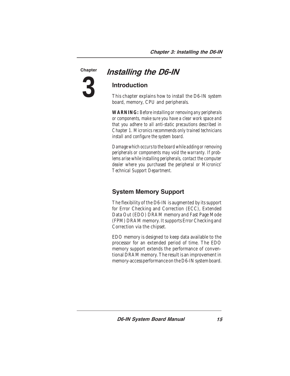**3**

### Chapter **Installing the D6-IN**

### Introduction

This chapter explains how to install the D6-IN system board, memory, CPU and peripherals.

*WARNING: Before installing or removing any peripherals or components, make sure you have a clear work space and that you adhere to all anti-static precautions described in Chapter 1. Micronics recommends only trained technicians install and configure the system board.*

*Damage which occurs to the board while adding or removing peripherals or components may void the warranty. If problems arise while installing peripherals, contact the computer dealer where you purchased the peripheral or Micronics' Technical Support Department.*

### System Memory Support

The flexibility of the D6-IN is augmented by its support for Error Checking and Correction (ECC), Extended Data Out (EDO) DRAM memory and Fast Page Mode (FPM) DRAM memory. It supports Error Checking and Correction via the chipset.

EDO memory is designed to keep data available to the processor for an extended period of time. The EDO memory support extends the performance of conventional DRAM memory. The result is an improvement in memory-access performance on the D6-IN system board.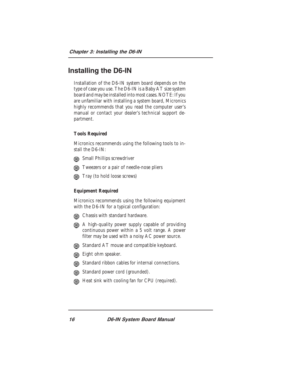### Installing the D6-IN

Installation of the D6-IN system board depends on the type of case you use. The D6-IN is a Baby AT size system board and may be installed into most cases. NOTE: If you are unfamiliar with installing a system board, Micronics highly recommends that you read the computer user's manual or contact your dealer's technical support department.

#### **Tools Required**

Micronics recommends using the following tools to install the D6-IN:

- **Gill** Small Phillips screwdriver
- **The EXECUTE:** Tweezers or a pair of needle-nose pliers
- Tray (to hold loose screws)

#### **Equipment Required**

Micronics recommends using the following equipment with the D6-IN for a typical configuration:

- **Chassis with standard hardware.**
- A high-quality power supply capable of providing continuous power within a 5 volt range. A power filter may be used with a noisy AC power source.
- **Gill** Standard AT mouse and compatible keyboard.
- Eight ohm speaker.
- **Gift** Standard ribbon cables for internal connections.
- **Gin** Standard power cord (grounded).
- Heat sink with cooling fan for CPU (required).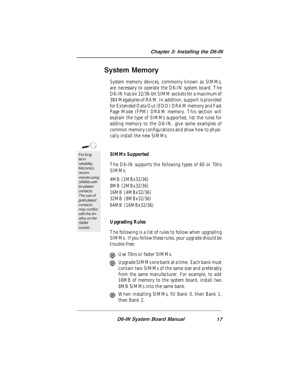### System Memory

System memory devices, commonly known as SIMMs, are necessary to operate the D6-IN system board. The D6-IN has six 32/36-bit SIMM sockets for a maximum of 384 Megabytes of RAM. In addition, support is provided for Extended Data Out (EDO) DRAM memory and Fast Page Mode (FPM) DRAM memory. This section will explain the type of SIMMs supported, list the rules for adding memory to the D6-IN, give some examples of common memory configurations and show how to physically install the new SIMMs.

For long term reliability, **Micronics** recommends using SIMMs with tin-plated contacts. The use of gold-plated contacts may conflict with the tinalloy on the

**SIMM** socket.

#### **SIMMs Supported**

The D6-IN supports the following types of 60 or 70ns SIMMs:

4MB (1MBx32/36) 8MB (2MBx32/36) 16MB (4MBx32/36) 32MB (8MBx32/36) 64MB (16MBx32/36)

#### **Upgrading Rules**

The following is a list of rules to follow when upgrading SIMMs. If you follow these rules, your upgrade should be trouble-free:

- **In** Use 70ns or faster SIMMs.
- Degrade SIMMs one bank at a time. Each bank must contain two SIMMs of the same size and preferably from the same manufacturer. For example, to add 16MB of memory to the system board, install two 8MB SIMMs into the same bank.
- When installing SIMMs, fill Bank 0, then Bank 1, then Bank 2.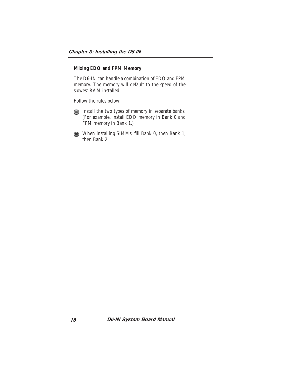#### **Mixing EDO and FPM Memory**

The D6-IN can handle a combination of EDO and FPM memory. The memory will default to the speed of the slowest RAM installed.

Follow the rules below:

- Install the two types of memory in separate banks. (For example, install EDO memory in Bank 0 and FPM memory in Bank 1.)
- When installing SIMMs, fill Bank 0, then Bank 1, then Bank 2.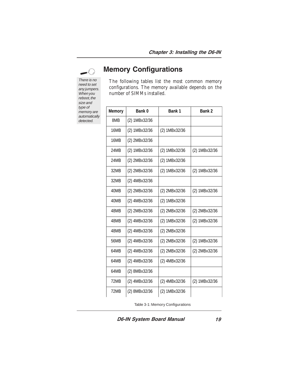Memory Configurations

There is no need to set any jumpers. When you reboot, the size and type of memory are automatically detected.

The following tables list the most common memory configurations. The memory available depends on the number of SIMMs installed.

| <b>Memory</b> | Bank 0        | Bank 1        | Bank 2        |
|---------------|---------------|---------------|---------------|
| 8MB           | (2) 1MBx32/36 |               |               |
| 16MB          | (2) 1MBx32/36 | (2) 1MBx32/36 |               |
| 16MB          | (2) 2MBx32/36 |               |               |
| <b>24MB</b>   | (2) 1MBx32/36 | (2) 1MBx32/36 | (2) 1MBx32/36 |
| <b>24MB</b>   | (2) 2MBx32/36 | (2) 1MBx32/36 |               |
| 32MB          | (2) 2MBx32/36 | (2) 1MBx32/36 | (2) 1MBx32/36 |
| 32MB          | (2) 4MBx32/36 |               |               |
| 40MB          | (2) 2MBx32/36 | (2) 2MBx32/36 | (2) 1MBx32/36 |
| 40MB          | (2) 4MBx32/36 | (2) 1MBx32/36 |               |
| 48MB          | (2) 2MBx32/36 | (2) 2MBx32/36 | (2) 2MBx32/36 |
| 48MB          | (2) 4MBx32/36 | (2) 1MBx32/36 | (2) 1MBx32/36 |
| 48MB          | (2) 4MBx32/36 | (2) 2MBx32/36 |               |
| 56MB          | (2) 4MBx32/36 | (2) 2MBx32/36 | (2) 1MBx32/36 |
| 64MB          | (2) 4MBx32/36 | (2) 2MBx32/36 | (2) 2MBx32/36 |
| 64MB          | (2) 4MBx32/36 | (2) 4MBx32/36 |               |
| 64MB          | (2) 8MBx32/36 |               |               |
| 72MB          | (2) 4MBx32/36 | (2) 4MBx32/36 | (2) 1MBx32/36 |
| 72MB          | (2) 8MBx32/36 | (2) 1MBx32/36 |               |

Table 3-1: Memory Configurations

D6-IN System Board Manual

19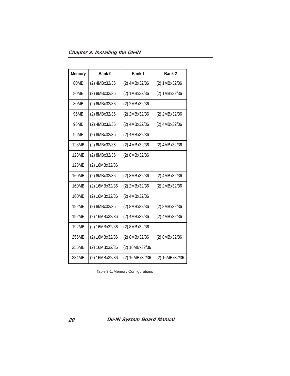Chapter 3: Installing the D6-IN

| <b>Memory</b> | Bank 0         | Bank 1         | Bank 2         |
|---------------|----------------|----------------|----------------|
| 80MB          | (2) 4MBx32/36  | (2) 4MBx32/36  | (2) 1MBx32/36  |
| 80MB          | (2) 8MBx32/36  | (2) 1MBx32/36  | (2) 1MBx32/36  |
| 80MB          | (2) 8MBx32/36  | (2) 2MBx32/36  |                |
| 96MB          | (2) 8MBx32/36  | (2) 2MBx32/36  | (2) 2MBx32/36  |
| 96MB          | (2) 4MBx32/36  | (2) 4MBx32/36  | (2) 4MBx32/36  |
| 96MB          | (2) 8MBx32/36  | (2) 4MBx32/36  |                |
| 128MB         | (2) 8MBx32/36  | (2) 4MBx32/36  | (2) 4MBx32/36  |
| 128MB         | (2) 8MBx32/36  | (2) 8MBx32/36  |                |
| 128MB         | (2) 16MBx32/36 |                |                |
| 160MB         | (2) 8MBx32/36  | (2) 8MBx32/36  | (2) 4MBx32/36  |
| 160MB         | (2) 16MBx32/36 | (2) 2MBx32/36  | (2) 2MBx32/36  |
| 160MB         | (2) 16MBx32/36 | (2) 4MBx32/36  |                |
| 192MB         | (2) 8MBx32/36  | (2) 8MBx32/36  | (2) 8MBx32/36  |
| 192MB         | (2) 16MBx32/36 | (2) 4MBx32/36  | (2) 4MBx32/36  |
| 192MB         | (2) 16MBx32/36 | (2) 8MBx32/36  |                |
| 256MB         | (2) 16MBx32/36 | (2) 8MBx32/36  | (2) 8MBx32/36  |
| 256MB         | (2) 16MBx32/36 | (2) 16MBx32/36 |                |
| 384MB         | (2) 16MBx32/36 | (2) 16MBx32/36 | (2) 16MBx32/36 |

Table 3-1: Memory Configurations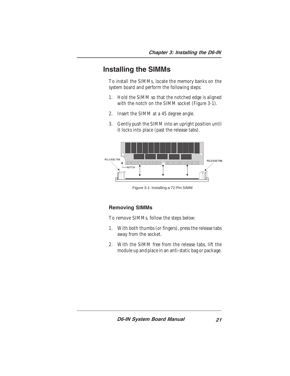### Installing the SIMMs

To install the SIMMs, locate the memory banks on the system board and perform the following steps:

- 1. Hold the SIMM so that the notched edge is aligned with the notch on the SIMM socket (Figure 3-1).
- 2. Insert the SIMM at a 45 degree angle.
- 3. Gently push the SIMM into an upright position until it locks into place (past the release tabs).



Figure 3-1: Installing a 72-Pin SIMM

#### Removing SIMMs

To remove SIMMs, follow the steps below:

- 1. With both thumbs (or fingers), press the release tabs away from the socket.
- 2. With the SIMM free from the release tabs, lift the module up and place in an anti-static bag or package.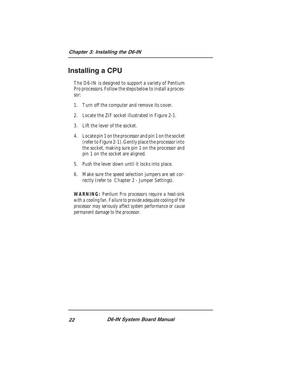### Installing a CPU

The D6-IN is designed to support a variety of Pentium Pro processors. Follow the steps below to install a processor:

- 1. Turn off the computer and remove its cover.
- 2. Locate the ZIF socket illustrated in Figure 2-1.
- 3. Lift the lever of the socket.
- 4. Locate pin 1 on the processor and pin 1 on the socket (refer to Figure 2-1). Gently place the processor into the socket, making sure pin 1 on the processor and pin 1 on the socket are aligned.
- 5. Push the lever down until it locks into place.
- 6. Make sure the speed selection jumpers are set correctly (refer to Chapter 2 - Jumper Settings).

*WARNING: Pentium Pro processors require a heat-sink with a cooling fan. Failure to provide adequate cooling of the processor may seriously affect system performance or cause permanent damage to the processor.*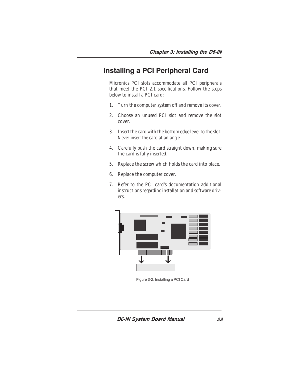### Installing a PCI Peripheral Card

Micronics PCI slots accommodate all PCI peripherals that meet the PCI 2.1 specifications. Follow the steps below to install a PCI card:

- 1. Turn the computer system off and remove its cover.
- 2. Choose an unused PCI slot and remove the slot cover.
- 3. Insert the card with the bottom edge level to the slot. *Never insert the card at an angle.*
- 4. Carefully push the card straight down, making sure the card is fully inserted.
- 5. Replace the screw which holds the card into place.
- 6. Replace the computer cover.
- 7. Refer to the PCI card's documentation additional instructions regarding installation and software drivers.



Figure 3-2: Installing a PCI Card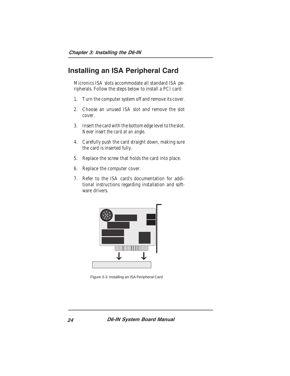### Installing an ISA Peripheral Card

Micronics ISA slots accommodate all standard ISA peripherals. Follow the steps below to install a PCI card:

- 1. Turn the computer system off and remove its cover.
- 2. Choose an unused ISA slot and remove the slot cover.
- 3. Insert the card with the bottom edge level to the slot. *Never insert the card at an angle.*
- 4. Carefully push the card straight down, making sure the card is inserted fully.
- 5. Replace the screw that holds the card into place.
- 6. Replace the computer cover.
- 7. Refer to the ISA card's documentation for additional instructions regarding installation and software drivers.



Figure 3-3: Installing an ISA Peripheral Card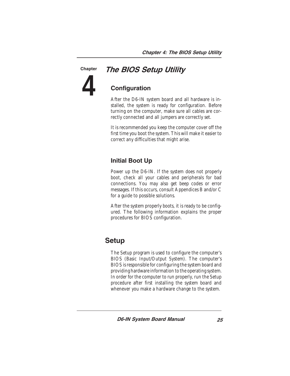### The BIOS Setup Utility

**4**

**Chapter** 

### **Configuration**

After the D6-IN system board and all hardware is installed, the system is ready for configuration. Before turning on the computer, make sure all cables are correctly connected and all jumpers are correctly set.

It is recommended you keep the computer cover off the first time you boot the system. This will make it easier to correct any difficulties that might arise.

#### Initial Boot Up

Power up the D6-IN. If the system does not properly boot, check all your cables and peripherals for bad connections. You may also get beep codes or error messages. If this occurs, consult Appendices B and/or C for a guide to possible solutions.

After the system properly boots, it is ready to be configured. The following information explains the proper procedures for BIOS configuration.

### Setup

The Setup program is used to configure the computer's BIOS (Basic Input/Output System). The computer's BIOS is responsible for configuring the system board and providing hardware information to the operating system. In order for the computer to run properly, run the Setup procedure after first installing the system board and whenever you make a hardware change to the system.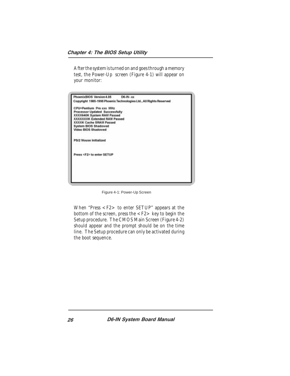After the system is turned on and goes through a memory test, the Power-Up screen (Figure 4-1) will appear on your monitor:

| PhoenixBIOS Version 4.05<br>$DS-IN - xx$                           |  |
|--------------------------------------------------------------------|--|
| Copyright 1985-1995 Phoenix Technologies Ltd., All Rights Reserved |  |
| CPU=Pentium Pro xxx MHz                                            |  |
| Processor Updated Successfully                                     |  |
| XXXX640K System RAM Passed                                         |  |
| <b>XXXXXXXK Extended RAM Passed</b>                                |  |
| <b>XXXXK Cache SRAM Passed</b>                                     |  |
| System BIOS Shadowed                                               |  |
| Video BIOS Shadowed                                                |  |
| PS/2 Mouse Initialized                                             |  |
| Press <f2> to enter SETUP</f2>                                     |  |
|                                                                    |  |
|                                                                    |  |
|                                                                    |  |
|                                                                    |  |
|                                                                    |  |

Figure 4-1: Power-Up Screen

When "Press <F2> to enter SETUP" appears at the bottom of the screen, press the <F2> key to begin the Setup procedure. The CMOS Main Screen (Figure 4-2) should appear and the prompt should be on the time line. The Setup procedure can only be activated during the boot sequence.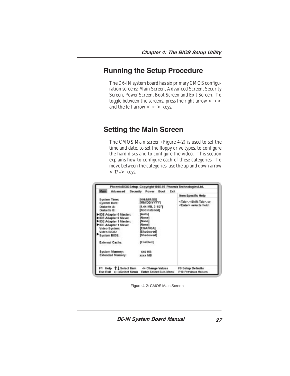### Running the Setup Procedure

The D6-IN system board has six primary CMOS configuration screens: Main Screen, Advanced Screen, Security Screen, Power Screen, Boot Screen and Exit Screen. To toggle between the screens, press the right arrow  $\langle \rightarrow \rangle$ and the left arrow  $\lt \leftarrow$  > keys.

### Setting the Main Screen

The CMOS Main screen (Figure 4-2) is used to set the time and date, to set the floppy drive types, to configure the hard disks and to configure the video. This section explains how to configure each of these categories. To move between the categories, use the up and down arrow  $<\uparrow/\downarrow>$  keys.

| <b>Advanced</b><br><b><i>Alass</i></b>                                                                                                                                                                                   | Security<br>Exit<br><b>Power</b><br>Boot                                                                                                                         |                                                                             |
|--------------------------------------------------------------------------------------------------------------------------------------------------------------------------------------------------------------------------|------------------------------------------------------------------------------------------------------------------------------------------------------------------|-----------------------------------------------------------------------------|
|                                                                                                                                                                                                                          |                                                                                                                                                                  | Item Specific Help                                                          |
| <b>System Time:</b><br><b>System Date:</b><br>Diskette A:<br>Diskette B<br>DE Adapter 0 Master:<br>▶ IDE Adapter © Slave:<br>DE Adapter 1 Master:<br>DE Adapter 1 Slave:<br>Video System:<br>Video BIOS:<br>System BIOS: | IHH:MM:SSI<br><b>IMMDDIYYYYI</b><br>[1.44 MB, 3 1/2"]<br>[Not Installed]<br>[Auto]<br>[Nome]<br>[Nome]<br>[Nome]<br><b>IEGA/VGAI</b><br>[Shadowed]<br>[Shadowed] | <tab>, <shift-tab>, or<br/><enter> selects field.</enter></shift-tab></tab> |
| <b>External Cache:</b>                                                                                                                                                                                                   | [Enabled]                                                                                                                                                        |                                                                             |
| System Memory:<br><b>Extended Memory:</b>                                                                                                                                                                                | <b>640 KB</b><br><b>XIXX MB</b>                                                                                                                                  |                                                                             |
| F1 Help T. L Select Hern<br>Esc Exit ← → Select Menu                                                                                                                                                                     | -J+ Change Values<br><b>Enter Select Sub-Menu</b>                                                                                                                | F9 Setup Defaults<br>F10 Previous Values                                    |

Figure 4-2: CMOS Main Screen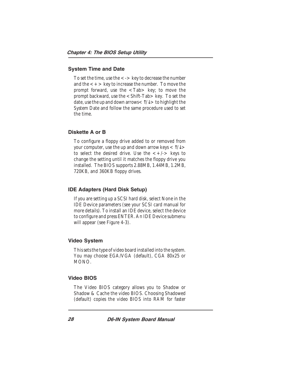#### System Time and Date

To set the time, use the  $\lt$  -  $>$  key to decrease the number and the  $\lt$  +  $>$  key to increase the number. To move the prompt forward, use the  $\langle \text{Tab} \rangle$  key; to move the prompt backward, use the <Shift-Tab> key. To set the date, use the up and down arrows  $<\uparrow/\downarrow>$  to highlight the System Date and follow the same procedure used to set the time.

#### Diskette A or B

To configure a floppy drive added to or removed from your computer, use the up and down arrow keys  $<\!\uparrow\downarrow\,>$ to select the desired drive. Use the  $\lt +/-$  keys to change the setting until it matches the floppy drive you installed. The BIOS supports 2.88MB, 1.44MB, 1.2MB, 720KB, and 360KB floppy drives.

#### IDE Adapters (Hard Disk Setup)

If you are setting up a SCSI hard disk, select None in the IDE Device parameters (see your SCSI card manual for more details). To install an IDE device, select the device to configure and press ENTER. An IDE Device submenu will appear (see Figure 4-3).

#### Video System

This sets the type of video board installed into the system. You may choose EGA/VGA (default), CGA 80x25 or MONO.

#### Video BIOS

The Video BIOS category allows you to Shadow or Shadow & Cache the video BIOS. Choosing Shadowed (default) copies the video BIOS into RAM for faster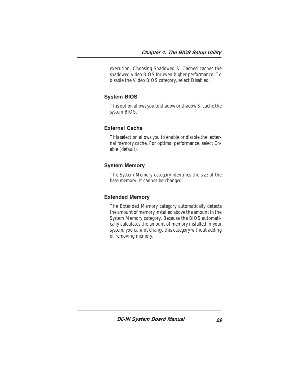execution. Choosing Shadowed & Cached caches the shadowed video BIOS for even higher performance. To disable the Video BIOS category, select Disabled.

#### System BIOS

This option allows you to shadow or shadow & cache the system BIOS.

#### External Cache

This selection allows you to enable or disable the external memory cache. For optimal performance, select Enable (default).

#### System Memory

The System Memory category identifies the size of the base memory. It cannot be changed.

#### Extended Memory

The Extended Memory category automatically detects the amount of memory installed above the amount in the System Memory category. Because the BIOS automatically calculates the amount of memory installed in your system, you cannot change this category without adding or removing memory.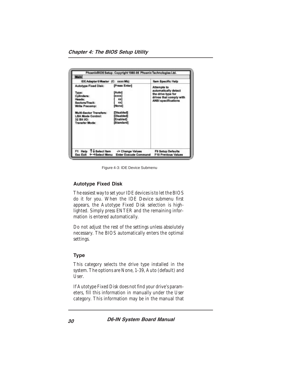

Figure 4-3: IDE Device Submenu

#### Autotype Fixed Disk

The easiest way to set your IDE devices is to let the BIOS do it for you. When the IDE Device submenu first appears, the Autotype Fixed Disk selection is highlighted. Simply press ENTER and the remaining information is entered automatically.

Do not adjust the rest of the settings unless absolutely necessary. The BIOS automatically enters the optimal settings.

#### Type

This category selects the drive type installed in the system. The options are None, 1-39, Auto (default) and User.

If Autotype Fixed Disk does not find your drive's parameters, fill this information in manually under the User category. This information may be in the manual that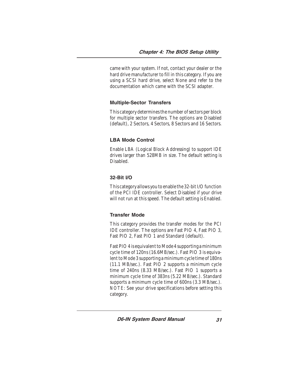came with your system. If not, contact your dealer or the hard drive manufacturer to fill in this category. If you are using a SCSI hard drive, select None and refer to the documentation which came with the SCSI adapter.

#### Multiple-Sector Transfers

This category determines the number of sectors per block for multiple sector transfers. The options are Disabled (default), 2 Sectors, 4 Sectors, 8 Sectors and 16 Sectors.

#### LBA Mode Control

Enable LBA (Logical Block Addressing) to support IDE drives larger than 528MB in size. The default setting is Disabled.

#### 32-Bit I/O

This category allows you to enable the 32-bit I/O function of the PCI IDE controller. Select Disabled if your drive will not run at this speed. The default setting is Enabled.

#### Transfer Mode

This category provides the transfer modes for the PCI IDE controller. The options are Fast PIO 4, Fast PIO 3, Fast PIO 2, Fast PIO 1 and Standard (default).

Fast PIO 4 is equivalent to Mode 4 supporting a minimum cycle time of 120ns (16.6MB/sec.). Fast PIO 3 is equivalent to Mode 3 supporting a minimum cycle time of 180ns (11.1 MB/sec.). Fast PIO 2 supports a minimum cycle time of 240ns (8.33 MB/sec.). Fast PIO 1 supports a minimum cycle time of 383ns (5.22 MB/sec.). Standard supports a minimum cycle time of 600ns (3.3 MB/sec.). *NOTE:* See your drive specifications before setting this category.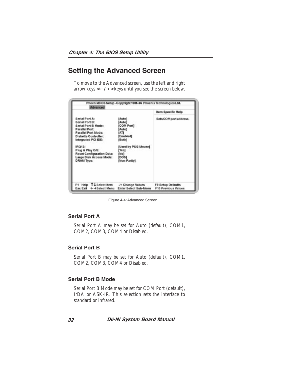### Setting the Advanced Screen

To move to the Advanced screen, use the left and right arrow keys <←/→> keys until you see the screen below.

| Advanced                                                                                                                                                                                                                                                                 | PhoenixBIOS Setup - Copyright 1985-96 Phoenix Technologies Ltd.                                                                                  |                                                        |  |
|--------------------------------------------------------------------------------------------------------------------------------------------------------------------------------------------------------------------------------------------------------------------------|--------------------------------------------------------------------------------------------------------------------------------------------------|--------------------------------------------------------|--|
|                                                                                                                                                                                                                                                                          |                                                                                                                                                  | <b>Item Specific Help</b>                              |  |
| Serial Port A:<br>Serial Port B:<br>Serial Port B Mode:<br>Parallel Port:<br>Parallel Port Mode:<br><b>Diskette Controller:</b><br>Integrated PCI IDE:<br>IRQ12:<br>Plug & Play O/S:<br><b>Reset Configuration Data:</b><br>Large Disk Access Mode:<br><b>DRAM Type:</b> | [Auto]<br>[Auto]<br>[COM Port]<br>[Auto]<br><b>IATI</b><br>[Enabled]<br>[Both]<br>[Used by PS/2 Mouse]<br>[Yes]<br>[No]<br> DOS <br>[Non-Parity] | Sets COMport address.                                  |  |
| F1 Help T+Select hem<br>Esc Exit ← → Select Menu                                                                                                                                                                                                                         | -/+ Change Values<br><b>Enter Select Sub-Menu</b>                                                                                                | <b>FB Setup Defaults</b><br><b>F10 Previous Values</b> |  |

Figure 4-4: Advanced Screen

#### Serial Port A

Serial Port A may be set for Auto (default), COM1, COM2, COM3, COM4 or Disabled.

#### Serial Port B

Serial Port B may be set for Auto (default), COM1, COM2, COM3, COM4 or Disabled.

#### Serial Port B Mode

Serial Port B Mode may be set for COM Port (default), IrDA or ASK-IR. This selection sets the interface to standard or infrared.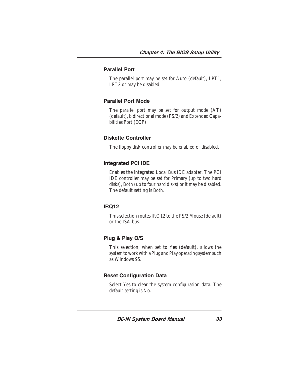#### Parallel Port

The parallel port may be set for Auto (default), LPT1, LPT2 or may be disabled.

#### Parallel Port Mode

The parallel port may be set for output mode (AT) (default), bidirectional mode (PS/2) and Extended Capabilities Port (ECP).

#### Diskette Controller

The floppy disk controller may be enabled or disabled.

#### Integrated PCI IDE

Enables the integrated Local Bus IDE adapter. The PCI IDE controller may be set for Primary (up to two hard disks), Both (up to four hard disks) or it may be disabled. The default setting is Both.

#### IRQ12

This selection routes IRQ12 to the PS/2 Mouse (default) or the ISA bus.

#### Plug & Play O/S

This selection, when set to Yes (default), allows the system to work with a Plug and Play operating system such as Windows 95.

#### Reset Configuration Data

Select Yes to clear the system configuration data. The default setting is No.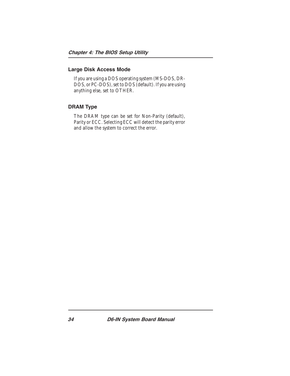#### Large Disk Access Mode

If you are using a DOS operating system (MS-DOS, DR-DOS, or PC-DOS), set to DOS (default). If you are using anything else, set to OTHER.

#### DRAM Type

The DRAM type can be set for Non-Parity (default), Parity or ECC. Selecting ECC will detect the parity error and allow the system to correct the error.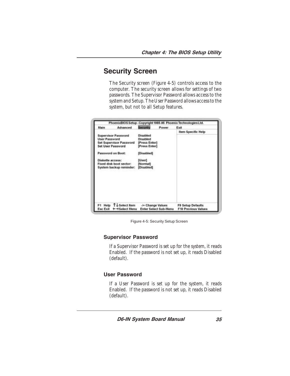### Security Screen

The Security screen (Figure 4-5) controls access to the computer. The security screen allows for settings of two passwords. The Supervisor Password allows access to the system and Setup. The User Password allows access to the system, but not to all Setup features.

| Main                                                                                      | Advanced                                                                                                    | <b>Security</b>                                                                                               | Pawer | Exit                                                   |
|-------------------------------------------------------------------------------------------|-------------------------------------------------------------------------------------------------------------|---------------------------------------------------------------------------------------------------------------|-------|--------------------------------------------------------|
| <b>User Password</b><br><b>Set User Password</b><br>Password on Boot:<br>Diskette access: | <b>Supervisor Password</b><br>Set Supervisor Password<br>Fixed disk boot sector:<br>System backup reminder: | Disabled<br>Disabled<br>[Press Enter]<br><b>Press Enter</b><br>[Disabled]<br>[User]<br>[Normal]<br>[Disabled] |       | Item Specific Help                                     |
|                                                                                           | F1 Help T & Select Hem<br>Esc Exit + +Select Menu                                                           | -/+ Change Values<br><b>Enter Select Sub-Menu</b>                                                             |       | <b>F9 Setup Defaults</b><br><b>F10 Previous Values</b> |

Figure 4-5: Security Setup Screen

#### Supervisor Password

If a Supervisor Password is set up for the system, it reads Enabled. If the password is not set up, it reads Disabled (default).

#### User Password

If a User Password is set up for the system, it reads Enabled. If the password is not set up, it reads Disabled (default).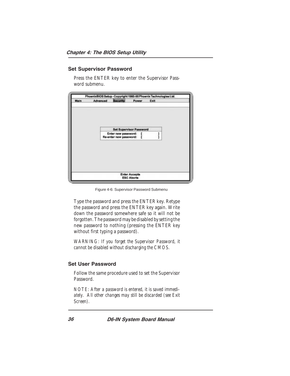#### Set Supervisor Password

Press the ENTER key to enter the Supervisor Password submenu.



Figure 4-6: Supervisor Password Submenu

Type the password and press the ENTER key. Retype the password and press the ENTER key again. Write down the password somewhere safe so it will not be forgotten. The password may be disabled by setting the new password to nothing (pressing the ENTER key without first typing a password).

*WARNING: If you forget the Supervisor Password, it cannot be disabled without discharging the CMOS.*

#### Set User Password

Follow the same procedure used to set the Supervisor Password.

*NOTE: After a password is entered, it is saved immediately. All other changes may still be discarded (see Exit Screen).*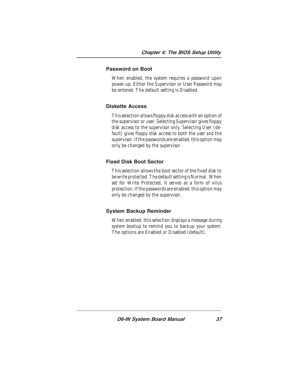#### Password on Boot

When enabled, the system requires a password upon power-up. Either the Supervisor or User Password may be entered. The default setting is Disabled.

#### Diskette Access

This selection allows floppy disk access with an option of the supervisor or user. Selecting Supervisor gives floppy disk access to the supervisor only. Selecting User (default) gives floppy disk access to both the user *and* the supervisor. If the passwords are enabled, this option may only be changed by the supervisor.

#### Fixed Disk Boot Sector

This selection allows the boot sector of the fixed disk to be write protected. The default setting is Normal. When set for Write Protected, it serves as a form of virus protection. If the passwords are enabled, this option may only be changed by the supervisor.

#### System Backup Reminder

When enabled, this selection displays a message during system bootup to remind you to backup your system. The options are Enabled or Disabled (default).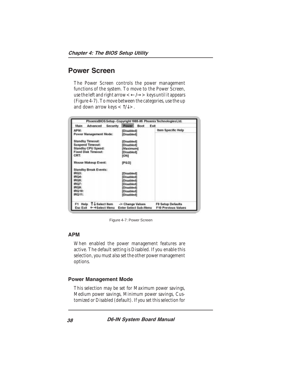### Power Screen

The Power Screen controls the power management functions of the system. To move to the Power Screen, use the left and right arrow  $\lt\lt\lt\to\gt$  keys until it appears (Figure 4-7). To move between the categories, use the up and down arrow keys  $<\uparrow/\downarrow>$ .

| Main<br>Advanced<br>Security | Boot<br>Exit<br>Power        |                            |
|------------------------------|------------------------------|----------------------------|
| APM:                         | (Disabled)                   | Item Specific Help         |
| Power Management Mode:       | [Disabled]                   |                            |
| <b>Standby Timeout:</b>      | <b>[Disabled]</b>            |                            |
| <b>Suspend Timeout:</b>      | [Disabled]                   |                            |
| <b>Standby CPU Speed:</b>    | [Maximum]                    |                            |
| <b>Fixed Disk Timeout:</b>   | [Disabled]                   |                            |
| CRT:                         | (ON)                         |                            |
| Mouse Wakeup Event:          | (PS/2)                       |                            |
| <b>Standby Break Events:</b> |                              |                            |
| IRQ3:                        | [Disabled]                   |                            |
| IRQ4:                        | [Disabled]                   |                            |
| IRQ6:                        | [Disabled]                   |                            |
| <b>IRQ7:</b>                 | Disabled]                    |                            |
| <b>IRQ9:</b>                 | [Disabled]                   |                            |
| IRQ10:                       | Disabled1                    |                            |
| IRQ11:                       | [Disabled]                   |                            |
| TJ-Select Rem<br>Help        | -/+ Change Values            | F9 Setup Defaults          |
| Esc Exit<br>← → Select Menu  | <b>Enter Select Sub-Menu</b> | <b>F10 Previous Values</b> |

Figure 4-7: Power Screen

#### APM

When enabled the power management features are active. The default setting is Disabled. If you enable this selection, you must also set the other power management options.

#### Power Management Mode

This selection may be set for Maximum power savings, Medium power savings, Minimum power savings, Customized or Disabled (default). If you set this selection for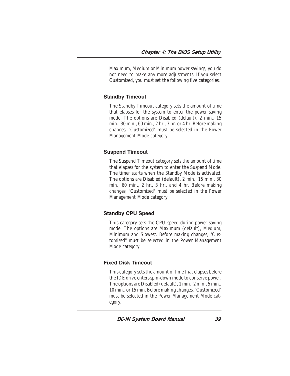Maximum, Medium or Minimum power savings, you do not need to make any more adjustments. If you select Customized, you must set the following five categories.

#### Standby Timeout

The Standby Timeout category sets the amount of time that elapses for the system to enter the power saving mode. The options are Disabled (default), 2 min., 15 min., 30 min., 60 min., 2 hr., 3 hr. or 4 hr. Before making changes, "Customized" must be selected in the Power Management Mode category.

#### Suspend Timeout

The Suspend Timeout category sets the amount of time that elapses for the system to enter the Suspend Mode. The timer starts when the Standby Mode is activated. The options are Disabled (default), 2 min., 15 min., 30 min., 60 min., 2 hr., 3 hr., and 4 hr. Before making changes, "Customized" must be selected in the Power Management Mode category.

#### Standby CPU Speed

This category sets the CPU speed during power saving mode. The options are Maximum (default), Medium, Minimum and Slowest. Before making changes, "Customized" must be selected in the Power Management Mode category.

#### Fixed Disk Timeout

This category sets the amount of time that elapses before the IDE drive enters spin-down mode to conserve power. The options are Disabled (default), 1 min., 2 min., 5 min., 10 min., or 15 min. Before making changes, "Customized" must be selected in the Power Management Mode category.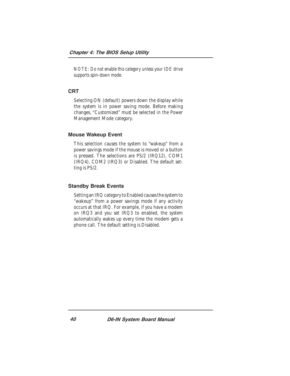*NOTE: Do not enable this category unless your IDE drive supports spin-down mode.*

#### **CRT**

Selecting ON (default) powers down the display while the system is in power saving mode. Before making changes, "Customized" must be selected in the Power Management Mode category.

#### Mouse Wakeup Event

This selection causes the system to "wakeup" from a power savings mode if the mouse is moved or a button is pressed. The selections are PS/2 (IRQ12), COM1 (IRQ4), COM2 (IRQ3) or Disabled. The default setting is PS/2.

#### Standby Break Events

Setting an IRQ category to Enabled causes the system to "wakeup" from a power savings mode if any activity occurs at that IRQ. For example, if you have a modem on IRQ3 and you set IRQ3 to enabled, the system automatically wakes up every time the modem gets a phone call. The default setting is Disabled.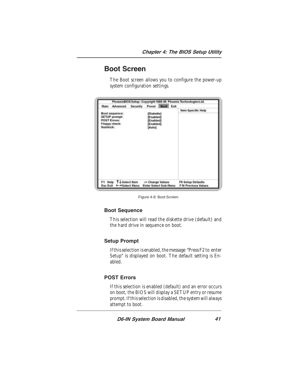### Boot Screen

The Boot screen allows you to configure the power-up system configuration settings.

| Main                                                                                | Advanced | <b>Security</b> | Power Boot Exit                                             |  |                                                 |
|-------------------------------------------------------------------------------------|----------|-----------------|-------------------------------------------------------------|--|-------------------------------------------------|
| Boot sequence:<br>SETUP prompt:<br><b>POST Errors:</b><br>Floppy check:<br>Numlock: |          |                 | [Diskette]<br>[Enabled]<br>[Enabled]<br>[Enabled]<br>[atuA] |  | <b>Item Specific Help</b>                       |
| F1 Help T+Select Nem<br>Esc Exit ← → Select Menu                                    |          |                 | -/+ Change Values<br><b>Enter Select Sub-Menu</b>           |  | <b>F9 Setup Defaults</b><br>F10 Previous Values |

Figure 4-8: Boot Screen

#### Boot Sequence

This selection will read the diskette drive (default) and the hard drive in sequence on boot.

#### Setup Prompt

If this selection is enabled, the message "Press F2 to enter Setup" is displayed on boot. The default setting is Enabled.

#### POST Errors

If this selection is enabled (default) and an error occurs on boot, the BIOS will display a SETUP entry or resume prompt. If this selection is disabled, the system will always attempt to boot.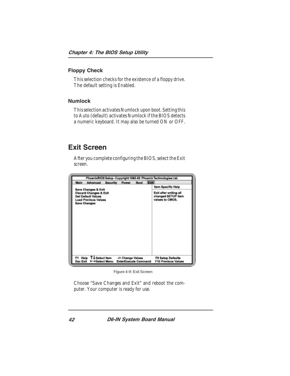#### Floppy Check

This selection checks for the existence of a floppy drive. The default setting is Enabled.

#### Numlock

This selection activates Numlock upon boot. Setting this to Auto (default) activates Numlock if the BIOS detects a numeric keyboard. It may also be turned ON or OFF.

### Exit Screen

After you complete configuring the BIOS, select the Exit screen.



Figure 4-9: Exit Screen

Choose "Save Changes and Exit" and reboot the computer. Your computer is ready for use.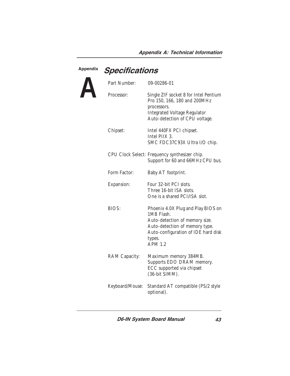# Appendix Specifications

| Part Number:    | 09-00286-01                                                                                                                                                                             |
|-----------------|-----------------------------------------------------------------------------------------------------------------------------------------------------------------------------------------|
| Processor:      | Single ZIF socket 8 for Intel Pentium<br>Pro 150, 166, 180 and 200MHz<br>processors.<br>Integrated Voltage Regulator<br>Auto-detection of CPU voltage.                                  |
| Chipset:        | Intel 440FX PCI chipset.<br>Intel PIIX 3.<br>SMC FDC37C93X Ultra I/O chip.                                                                                                              |
|                 | CPU Clock Select: Frequency synthesizer chip.<br>Support for 60 and 66MHz CPU bus.                                                                                                      |
| Form Factor:    | Baby AT footprint.                                                                                                                                                                      |
| Expansion:      | Four 32-bit PCI slots.<br>Three 16-bit ISA slots.<br>One is a shared PCI/ISA slot.                                                                                                      |
| BIOS:           | Phoenix 4.0X Plug and Play BIOS on<br>1MB Flash.<br>Auto-detection of memory size.<br>Auto-detection of memory type.<br>Auto-configuration of IDE hard disk<br>types.<br><b>APM 1.2</b> |
| RAM Capacity:   | Maximum memory 384MB.<br>Supports EDO DRAM memory.<br>ECC supported via chipset<br>(36-bit SIMM).                                                                                       |
| Keyboard/Mouse: | Standard AT compatible (PS/2 style<br>optional).                                                                                                                                        |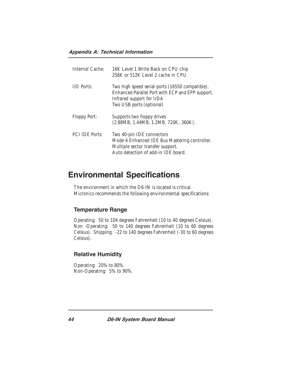#### Appendix A: Technical Information

| Internal Cache:       | 16K Level 1 Write Back on CPU chip<br>256K or 512K Level 2 cache in CPU                                                                                      |
|-----------------------|--------------------------------------------------------------------------------------------------------------------------------------------------------------|
| $I/O$ Ports:          | Two high speed serial ports (16550 compatible).<br>Enhanced Parallel Port with ECP and EPP support.<br>Infrared support for IrDA<br>Two USB ports (optional) |
| Floppy Port:          | Supports two floppy drives<br>(2.88MB, 1.44MB, 1.2MB, 720K, 360K).                                                                                           |
| <b>PCI IDE Ports:</b> | Two 40-pin IDE connectors<br>Mode 4 Enhanced IDE Bus Mastering controller.<br>Multiple sector transfer support.<br>Auto detection of add-in IDE board.       |

### Environmental Specifications

The environment in which the D6-IN is located is critical. Micronics recommends the following environmental specifications:

#### Temperature Range

Operating: 50 to 104 degrees Fahrenheit (10 to 40 degrees Celsius). Non -Operating: 50 to 140 degrees Fahrenheit (10 to 60 degrees Celsius). Shipping: -22 to 140 degrees Fahrenheit (-30 to 60 degrees Celsius).

#### Relative Humidity

Operating: 20% to 80%. Non-Operating: 5% to 90%.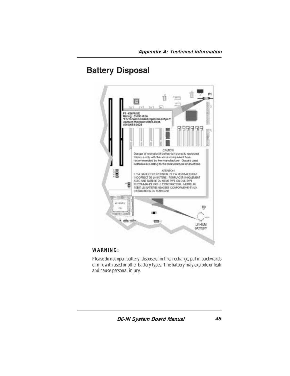## Battery Disposal



#### *WARNING:*

*Please do not open battery, dispose of in fire, recharge, put in backwards or mix with used or other battery types. The battery may explode or leak and cause personal injury.*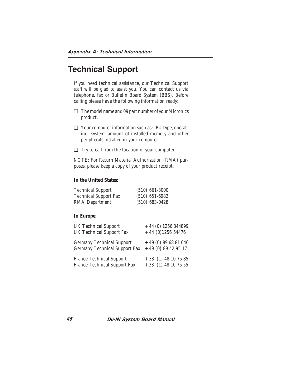### Technical Support

If you need technical assistance, our Technical Support staff will be glad to assist you. You can contact us via telephone, fax or Bulletin Board System (BBS). Before calling please have the following information ready:

- ❏ The model name and 09 part number of your Micronics product.
- ❏ Your computer information such as CPU type, operating system, amount of installed memory and other peripherals installed in your computer.
- ❏ Try to call from the location of your computer.

*NOTE:* For Return Material Authorization (RMA) purposes, please keep a copy of your product receipt.

#### **In the United States:**

| <b>Technical Support</b>     | $(510)$ 661-3000 |
|------------------------------|------------------|
| <b>Technical Support Fax</b> | $(510)$ 651-6982 |
| RMA Department               | $(510)$ 683-0428 |

#### **In Europe:**

| <b>UK Technical Support</b>     | $+44$ (0) 1256 844899 |
|---------------------------------|-----------------------|
| <b>UK Technical Support Fax</b> | $+44$ (0)1256 54476   |
| Germany Technical Support       | $+49(0)896881646$     |
| Germany Technical Support Fax   | $+49(0)89429517$      |
| France Technical Support        | $+33$ (1) 48 10 75 85 |
| France Technical Support Fax    | $+33$ (1) 48 10 75 55 |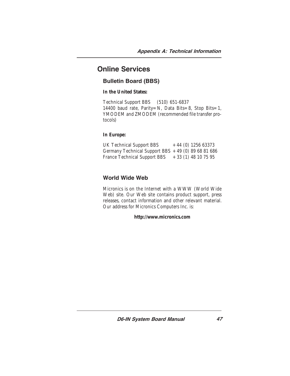### Online Services

#### Bulletin Board (BBS)

**In the United States:**

Technical Support BBS (510) 651-6837 14400 baud rate, Parity=N, Data Bits=8, Stop Bits=1, YMODEM and ZMODEM (recommended file transfer protocols)

#### **In Europe:**

| <b>UK Technical Support BBS</b>                      | $+44$ (0) 1256 63373 |  |
|------------------------------------------------------|----------------------|--|
| Germany Technical Support BBS $+49$ (0) 89 68 81 686 |                      |  |
| France Technical Support BBS                         | $+33(1)$ 48 10 75 95 |  |

#### World Wide Web

Micronics is on the Internet with a WWW (World Wide Web) site. Our Web site contains product support, press releases, contact information and other relevant material. Our address for Micronics Computers Inc. is:

**http://www.micronics.com**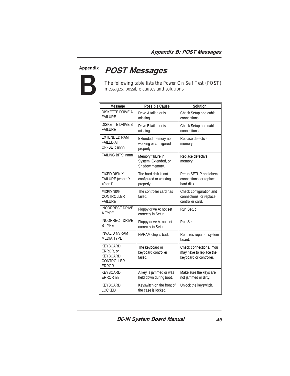# Appendix



The following table lists the Power On Self Test (POST) messages, possible causes and solutions.

| Message                                                                              | <b>Possible Cause</b>                                       | <b>Solution</b>                                                              |
|--------------------------------------------------------------------------------------|-------------------------------------------------------------|------------------------------------------------------------------------------|
| DISKETTE DRIVE A<br><b>FAILURE</b>                                                   | Drive A failed or is<br>missing.                            | Check Setup and cable<br>connections.                                        |
| <b>DISKETTE DRIVE B</b><br><b>FAILURE</b>                                            | Drive B failed or is<br>missing.                            | Check Setup and cable<br>connections.                                        |
| <b>EXTENDED RAM</b><br><b>FAILED AT</b><br>OFFSET: nnnn                              | Extended memory not<br>working or configured<br>properly.   | Replace defective<br>memory.                                                 |
| <b>FAILING BITS: nnnn</b>                                                            | Memory failure in<br>System, Extended, or<br>Shadow memory. | Replace defective<br>memory.                                                 |
| <b>FIXED DISK X</b><br>FAILURE (where X<br>$=0$ or 1)                                | The hard disk is not<br>configured or working<br>properly.  | Rerun SETUP and check<br>connections, or replace<br>hard disk.               |
| <b>FIXED DISK</b><br><b>CONTROLLER</b><br><b>FAILURE</b>                             | The controller card has<br>failed.                          | Check configuration and<br>connections, or replace<br>controller card.       |
| <b>INCORRECT DRIVE</b><br>A TYPE                                                     | Floppy drive A: not set<br>correctly in Setup.              | Run Setup.                                                                   |
| <b>INCORRECT DRIVE</b><br><b>B TYPE</b>                                              | Floppy drive A: not set<br>correctly in Setup.              | Run Setup.                                                                   |
| <b>INVALID NVRAM</b><br><b>MEDIA TYPE</b>                                            | NVRAM chip is bad.                                          | Requires repair of system<br>board.                                          |
| <b>KEYBOARD</b><br>ERROR, or<br><b>KEYBOARD</b><br><b>CONTROLLER</b><br><b>ERROR</b> | The keyboard or<br>keyboard controller<br>failed.           | Check connections. You<br>may have to replace the<br>keyboard or controller. |
| <b>KEYBOARD</b><br>ERROR <sub>nn</sub>                                               | A key is jammed or was<br>held down during boot.            | Make sure the keys are<br>not jammed or dirty.                               |
| <b>KEYBOARD</b><br><b>LOCKED</b>                                                     | Keyswitch on the front of<br>the case is locked.            | Unlock the keyswitch.                                                        |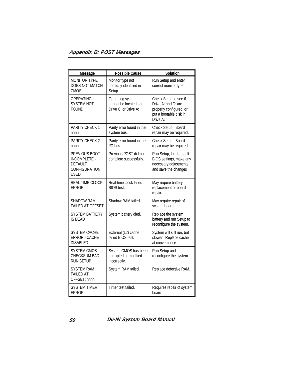#### Appendix B: POST Messages

| <b>Message</b>                                                                         | <b>Possible Cause</b>                                            | <b>Solution</b>                                                                                               |
|----------------------------------------------------------------------------------------|------------------------------------------------------------------|---------------------------------------------------------------------------------------------------------------|
| <b>MONITOR TYPE</b><br>DOES NOT MATCH<br>CMOS                                          | Monitor type not<br>correctly identified in<br>Setup.            | Run Setup and enter<br>correct monitor type.                                                                  |
| OPERATING<br><b>SYSTEM NOT</b><br><b>FOUND</b>                                         | Operating system<br>cannot be located on<br>Drive C: or Drive A: | Check Setup to see if<br>Drive A: and C: are<br>properly configured, or<br>put a bootable disk in<br>Drive A: |
| PARITY CHECK 1<br>nnnn                                                                 | Parity error found in the<br>system bus.                         | Check Setup. Board<br>repair may be required.                                                                 |
| <b>PARITY CHECK 2</b><br>nnnn                                                          | Parity error found in the<br>I/O bus.                            | Check Setup. Board<br>repair may be required.                                                                 |
| PREVIOUS BOOT<br>INCOMPLETE -<br><b>DEFAULT</b><br><b>CONFIGURATION</b><br><b>USED</b> | Previous POST did not<br>complete successfully.                  | Run Setup, load default<br>BIOS settings, make any<br>necessary adjustments,<br>and save the changes          |
| REAL TIME CLOCK<br><b>ERROR</b>                                                        | Real-time clock failed<br>BIOS test.                             | May require battery<br>replacement or board<br>repair.                                                        |
| <b>SHADOW RAM</b><br><b>FAILED AT OFFSET</b>                                           | Shadow RAM failed.                                               | May require repair of<br>system board.                                                                        |
| SYSTEM BATTERY<br>IS DEAD                                                              | System battery died.                                             | Replace the system<br>battery and run Setup to<br>reconfigure the system.                                     |
| SYSTEM CACHE<br><b>ERROR - CACHE</b><br><b>DISABLED</b>                                | External (L2) cache<br>failed BIOS test.                         | System will still run, but<br>slower. Replace cache<br>at convenience.                                        |
| SYSTEM CMOS<br>CHECKSUM BAD -<br><b>RUN SETUP</b>                                      | System CMOS has been<br>corrupted or modified<br>incorrectly.    | Run Setup and<br>reconfigure the system.                                                                      |
| <b>SYSTEM RAM</b><br>FAILED AT<br>OFFSET: nnnn                                         | System RAM failed.                                               | Replace defective RAM.                                                                                        |
| <b>SYSTEM TIMER</b><br><b>ERROR</b>                                                    | Timer test failed.                                               | Requires repair of system<br>board.                                                                           |

50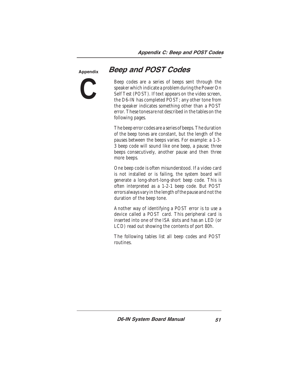Appendix **C**

### Beep and POST Codes

Beep codes are a series of beeps sent through the speaker which indicate a problem during the Power On Self Test (POST). If text appears on the video screen, the D6-IN has completed POST; any other tone from the speaker indicates something other than a POST error. These tones *are not* described in the tables on the following pages.

The beep error codes are a series of beeps. The duration of the beep tones are constant, but the length of the pauses between the beeps varies. For example: a 1-3- 3 beep code will sound like one beep, a pause; three beeps consecutively, another pause and then three more beeps.

One beep code is often misunderstood. If a video card is not installed or is failing, the system board will generate a long-short-long-short beep code. This is often interpreted as a 1-2-1 beep code. But POST errors always vary in the length of the pause and not the duration of the beep tone.

Another way of identifying a POST error is to use a device called a POST card. This peripheral card is inserted into one of the ISA slots and has an LED (or LCD) read out showing the contents of port 80h.

The following tables list all beep codes and POST routines.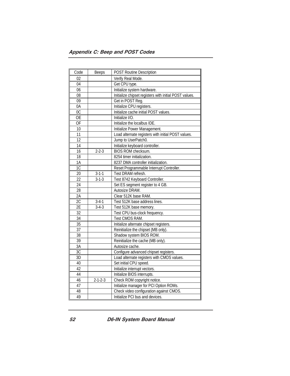| Code            | <b>Beeps</b>    | <b>POST Routine Description</b>                        |
|-----------------|-----------------|--------------------------------------------------------|
| 02              |                 | Verify Real Mode.                                      |
| 04              |                 | Get CPU type.                                          |
| 06              |                 | Initialize system hardware.                            |
| 08              |                 | Initialize chipset registers with initial POST values. |
| 09              |                 | Get in POST Reg.                                       |
| 0A              |                 | Initialize CPU registers.                              |
| $\overline{OC}$ |                 | Initialize cache initial POST values.                  |
| $\overline{OE}$ |                 | Initialize I/O.                                        |
| $\overline{OF}$ |                 | Initialize the localbus IDE.                           |
| 10              |                 | Initialize Power Management.                           |
| 11              |                 | Load alternate registers with initial POST values.     |
| 12              |                 | Jump to UserPatch0.                                    |
| 14              |                 | Initialize keyboard controller.                        |
| 16              | $2 - 2 - 3$     | BIOS ROM checksum.                                     |
| 18              |                 | 8254 timer initialization.                             |
| 1A              |                 | 8237 DMA controller initialization.                    |
| 1C              |                 | Reset Programmable Interrupt Controller.               |
| 20              | $3 - 1 - 1$     | Test DRAM refresh.                                     |
| 22              | $3 - 1 - 3$     | Test 8742 Keyboard Controller.                         |
| 24              |                 | Set ES segment register to 4 GB.                       |
| 28              |                 | Autosize DRAM.                                         |
| 2A              |                 | Clear 512K base RAM.                                   |
| 2C              | $3-4-1$         | Test 512K base address lines.                          |
| $\overline{2E}$ | $3-4-3$         | Test 512K base memory.                                 |
| 32              |                 | Test CPU bus-clock frequency.                          |
| 34              |                 | Test CMOS RAM.                                         |
| 35              |                 | Initialize alternate chipset registers.                |
| 37              |                 | Reinitialize the chipset (MB only).                    |
| 38              |                 | Shadow system BIOS ROM.                                |
| 39              |                 | Reinitialize the cache (MB only).                      |
| 3A              |                 | Autosize cache.                                        |
| 3C              |                 | Configure advanced chipset registers.                  |
| $\overline{3D}$ |                 | Load alternate registers with CMOS values.             |
| 40              |                 | Set initial CPU speed.                                 |
| 42              |                 | Initialize interrupt vectors.                          |
| 44              |                 | Initialize BIOS interrupts.                            |
| 46              | $2 - 1 - 2 - 3$ | Check ROM copyright notice.                            |
| 47              |                 | Initialize manager for PCI Option ROMs.                |
| 48              |                 | Check video configuration against CMOS.                |
| 49              |                 | Initialize PCI bus and devices.                        |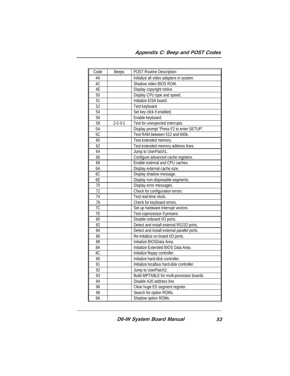| Code            | <b>Beeps</b>    | <b>POST Routine Description</b>             |
|-----------------|-----------------|---------------------------------------------|
| 4A              |                 | Initialize all video adapters in system.    |
| 4C              |                 | Shadow video BIOS ROM.                      |
| 4E              |                 | Display copyright notice.                   |
| 50              |                 | Display CPU type and speed.                 |
| 51              |                 | Initialize EISA board.                      |
| 52              |                 | Test keyboard.                              |
| 54              |                 | Set key click if enabled.                   |
| $\overline{56}$ |                 | Enable keyboard.                            |
| 58              | $2 - 2 - 3 - 1$ | Test for unexpected interrupts.             |
| $5\overline{A}$ |                 | Display prompt "Press F2 to enter SETUP".   |
| 5C              |                 | Test RAM between 512 and 640k.              |
| 60              |                 | Test extended memory.                       |
| 62              |                 | Test extended memory address lines.         |
| 64              |                 | Jump to UserPatch1.                         |
| 66              |                 | Configure advanced cache registers.         |
| 68              |                 | Enable external and CPU caches.             |
| 6A              |                 | Display external cache size.                |
| 6C              |                 | Display shadow message.                     |
| 6E              |                 | Display non-disposable segments.            |
| 70              |                 | Display error messages.                     |
| 72              |                 | Check for configuration errors.             |
| 74              |                 | Test real-time clock.                       |
| 76              |                 | Check for keyboard errors.                  |
| 7C              |                 | Set up hardware interrupt vectors.          |
| 7E              |                 | Test coprocessor if present.                |
| 80              |                 | Disable onboard I/O ports.                  |
| 82              |                 | Detect and install external RS232 ports.    |
| 84              |                 | Detect and install external parallel ports. |
| 86              |                 | Re-initialize on-board I/O ports.           |
| 88              |                 | Initialize BIOSData Area.                   |
| 8A              |                 | Initialize Extended BIOS Data Area.         |
| 8C              |                 | Initialize floppy controller.               |
| 90              |                 | Initialize hard-disk controller.            |
| 91              |                 | Initialize localbus hard-disk controller.   |
| 92              |                 | Jump to UserPatch2.                         |
| 93              |                 | Build MPTABLE for multi-processor boards.   |
| 94              |                 | Disable A20 address line.                   |
| $\overline{96}$ |                 | Clear huge ES segment register.             |
| 98              |                 | Search for option ROMs.                     |
| 9A              |                 | Shadow option ROMs.                         |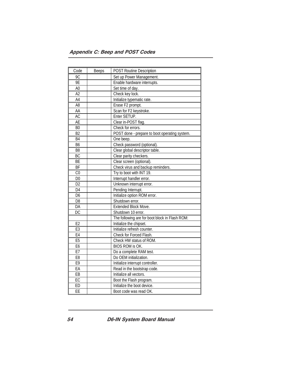#### Appendix C: Beep and POST Codes

| Code            | <b>Beeps</b> | <b>POST Routine Description</b>                |
|-----------------|--------------|------------------------------------------------|
| 9C              |              | Set up Power Management.                       |
| 9E              |              | Enable hardware interrupts.                    |
| A <sub>0</sub>  |              | Set time of day.                               |
| A2              |              | Check key lock.                                |
| $\overline{A4}$ |              | Initialize typematic rate.                     |
| A <sub>8</sub>  |              | Erase F2 prompt.                               |
| AA              |              | Scan for F2 keystroke.                         |
| AC              |              | Enter SETUP.                                   |
| <b>AE</b>       |              | Clear in-POST flag.                            |
| B <sub>0</sub>  |              | Check for errors.                              |
| B2              |              | POST done - prepare to boot operating system.  |
| <b>B4</b>       |              | One beep.                                      |
| B <sub>6</sub>  |              | Check password (optional).                     |
| B <sub>8</sub>  |              | Clear global descriptor table.                 |
| <b>BC</b>       |              | Clear parity checkers.                         |
| BE              |              | Clear screen (optional).                       |
| <b>BF</b>       |              | Check virus and backup reminders.              |
| CO              |              | Try to boot with INT 19.                       |
| $\overline{D0}$ |              | Interrupt handler error.                       |
| D <sub>2</sub>  |              | Unknown interrupt error.                       |
| D4              |              | Pending Interrupt.                             |
| D <sub>6</sub>  |              | Initialize option ROM error.                   |
| D <sub>8</sub>  |              | Shutdown error.                                |
| DA              |              | Extended Block Move.                           |
| $\overline{DC}$ |              | Shutdown 10 error.                             |
|                 |              | The following are for boot block in Flash ROM: |
| E2              |              | Initialize the chipset.                        |
| E <sub>3</sub>  |              | Initialize refresh counter.                    |
| E4              |              | Check for Forced Flash.                        |
| E5              |              | Check HW status of ROM.                        |
| E <sub>6</sub>  |              | <b>BIOS ROM is OK.</b>                         |
| E7              |              | Do a complete RAM test.                        |
| E <sub>8</sub>  |              | Do OEM initialization.                         |
| E9              |              | Initialize interrupt controller.               |
| EA              |              | Read in the bootstrap code.                    |
| E               |              | Initialize all vectors.                        |
| EC              |              | Boot the Flash program.                        |
| ED              |              | Initialize the boot device.                    |
| EE              |              | Boot code was read OK.                         |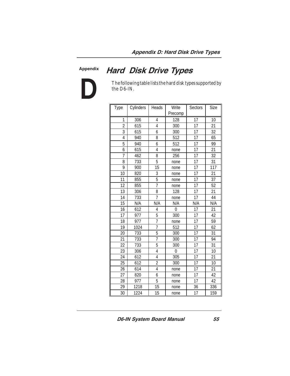Appendix

**D**

# Hard Disk Drive Types

The following table lists the hard disk types supported by the D6-IN.

| Type           | Cylinders | Heads          | Write<br>Precomp | Sectors | Size |
|----------------|-----------|----------------|------------------|---------|------|
| 1              | 306       | 4              | 128              | 17      | 10   |
| $\overline{c}$ | 615       | 4              | 300              | 17      | 21   |
| 3              | 615       | 6              | 300              | 17      | 32   |
| 4              | 940       | 8              | 512              | 17      | 65   |
| 5              | 940       | 6              | 512              | 17      | 99   |
| 6              | 615       | 4              | none             | 17      | 21   |
| 7              | 462       | 8              | 256              | 17      | 32   |
| 8              | 733       | 5              | none             | 17      | 31   |
| 9              | 900       | 15             | none             | 17      | 117  |
| 10             | 820       | 3              | none             | 17      | 21   |
| 11             | 855       | 5              | none             | 17      | 37   |
| 12             | 855       | $\overline{7}$ | none             | 17      | 52   |
| 13             | 306       | 8              | 128              | 17      | 21   |
| 14             | 733       | $\overline{7}$ | none             | 17      | 44   |
| 15             | N/A       | N/A            | N/A              | N/A     | N/A  |
| 16             | 612       | 4              | $\mathbf 0$      | 17      | 21   |
| 17             | 977       | 5              | 300              | 17      | 42   |
| 18             | 977       | $\overline{7}$ | none             | 17      | 59   |
| 19             | 1024      | 7              | 512              | 17      | 62   |
| 20             | 733       | 5              | 300              | 17      | 31   |
| 21             | 733       | $\overline{7}$ | 300              | 17      | 94   |
| 22             | 733       | 5              | 300              | 17      | 31   |
| 23             | 306       | 4              | $\mathbf{0}$     | 17      | 10   |
| 24             | 612       | 4              | 305              | 17      | 21   |
| 25             | 612       | $\overline{2}$ | 300              | 17      | 10   |
| 26             | 614       | 4              | none             | 17      | 21   |
| 27             | 820       | 6              | none             | 17      | 42   |
| 28             | 977       | 5              | none             | 17      | 42   |
| 29             | 1218      | 15             | none             | 36      | 336  |
| 30             | 1224      | 15             | none             | 17      | 159  |

D6-IN System Board Manual

55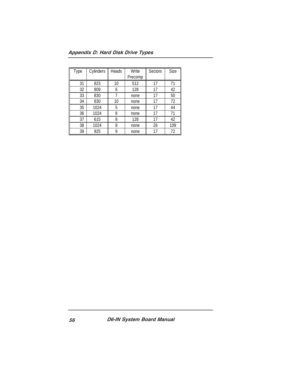Appendix D: Hard Disk Drive Types

| Type | Cylinders | Heads | Write   | Sectors | Size |
|------|-----------|-------|---------|---------|------|
|      |           |       | Precomp |         |      |
| 31   | 823       | 10    | 512     | 17      | 71   |
| 32   | 809       | 6     | 128     | 17      | 42   |
| 33   | 830       | 7     | none    | 17      | 50   |
| 34   | 830       | 10    | none    | 17      | 72   |
| 35   | 1024      | 5     | none    | 17      | 44   |
| 36   | 1024      | 8     | none    | 17      | 71   |
| 37   | 615       | 8     | 128     | 17      | 42   |
| 38   | 1024      | 8     | none    | 26      | 109  |
| 39   | 925       | 9     | none    | 17      | 72   |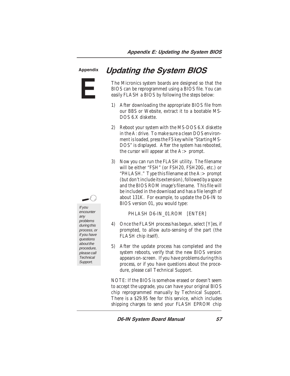**E** Appendix

# Updating the System BIOS

The Micronics system boards are designed so that the BIOS can be reprogrammed using a BIOS file. You can easily FLASH a BIOS by following the steps below:

- 1) After downloading the appropriate BIOS file from our BBS or Website, extract it to a bootable MS-DOS 6.X diskette.
- 2) Reboot your system with the MS-DOS 6.X diskette in the A: drive. To make sure a clean DOS environment is loaded, press the F5 key while "Starting MS-DOS" is displayed. After the system has rebooted, the cursor will appear at the  $A:$  prompt.
- 3) Now you can run the FLASH utility. The filename will be either "FSH" (or FSH20, FSH20G, etc.) or "PHLASH." Type this filename at the  $A:$  prompt (but don't include its extension), followed by a space and the BIOS ROM image's filename. This file will be included in the download and has a file length of about 131K. For example, to update the D6-IN to BIOS version 01, you would type:

PHLASH D6-IN\_01.ROM [ENTER]

- 4) Once the FLASH process has begun, select [Y]es, if prompted, to allow auto-sensing of the part (the FLASH chip itself).
- 5) After the update process has completed and the system reboots, verify that the new BIOS version appears on-screen. If you have problems during this process, or if you have questions about the procedure, please call Technical Support.

NOTE: If the BIOS is somehow erased or doesn't seem to accept the upgrade, you can have your original BIOS chip reprogrammed manually by Technical Support. There is a \$29.95 fee for this service, which includes shipping charges to send your FLASH EPROM chip

D6-IN System Board Manual

If you

encounter any problems during this process, or if you have questions about the procedure, please call **Technical** Support.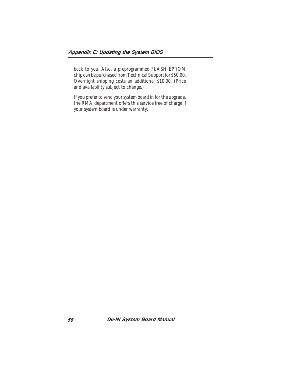back to you. Also, a preprogrammed FLASH EPROM chip can be purchased from Technical Support for \$50.00. Overnight shipping costs an additional \$10.00. (Price and availability subject to change.)

If you prefer to send your system board in for the upgrade, the RMA department offers this service free of charge if your system board is under warranty.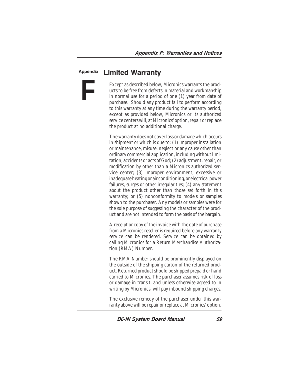#### Appendix

**F**

### Limited Warranty

Except as described below, Micronics warrants the products to be free from defects in material and workmanship in normal use for a period of one (1) year from date of purchase. Should any product fail to perform according to this warranty at any time during the warranty period, except as provided below, Micronics or its authorized service centers will, at Micronics' option, repair or replace the product at no additional charge.

The warranty does not cover loss or damage which occurs in shipment or which is due to: (1) improper installation or maintenance, misuse, neglect or any cause other than ordinary commercial application, including without limitation, accidents or acts of God; (2) adjustment, repair, or modification by other than a Micronics authorized service center; (3) improper environment, excessive or inadequate heating or air conditioning, or electrical power failures, surges or other irregularities; (4) any statement about the product other than those set forth in this warranty; or (5) nonconformity to models or samples shown to the purchaser. Any models or samples were for the sole purpose of suggesting the character of the product and are not intended to form the basis of the bargain.

A receipt or copy of the invoice with the date of purchase from a Micronics reseller is required before any warranty service can be rendered. Service can be obtained by calling Micronics for a Return Merchandise Authorization (RMA) Number.

The RMA Number should be prominently displayed on the outside of the shipping carton of the returned product. Returned product should be shipped prepaid or hand carried to Micronics. The purchaser assumes risk of loss or damage in transit, and unless otherwise agreed to in writing by Micronics, will pay inbound shipping charges.

The exclusive remedy of the purchaser under this warranty above will be repair or replace at Micronics' option,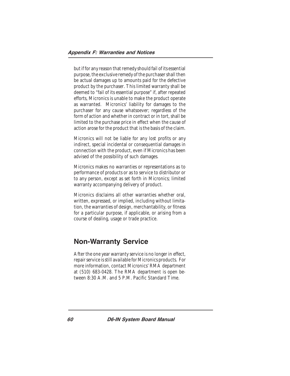but if for any reason that remedy should fail of its essential purpose, the exclusive remedy of the purchaser shall then be actual damages up to amounts paid for the defective product by the purchaser. This limited warranty shall be deemed to "fail of its essential purpose" if, after repeated efforts, Micronics is unable to make the product operate as warranted. Micronics' liability for damages to the purchaser for any cause whatsoever; regardless of the form of action and whether in contract or in tort, shall be limited to the purchase price in effect when the cause of action arose for the product that is the basis of the claim.

Micronics will not be liable for any lost profits or any indirect, special incidental or consequential damages in connection with the product, even if Micronics has been advised of the possibility of such damages.

Micronics makes no warranties or representations as to performance of products or as to service to distributor or to any person, except as set forth in Micronics; limited warranty accompanying delivery of product.

Micronics disclaims all other warranties whether oral, written, expressed, or implied, including without limitation, the warranties of design, merchantability, or fitness for a particular purpose, if applicable, or arising from a course of dealing, usage or trade practice.

### Non-Warranty Service

After the one year warranty service is no longer in effect, repair service is still available for Micronics products. For more information, contact Micronics' RMA department at (510) 683-0428. The RMA department is open between 8:30 A.M. and 5 P.M. Pacific Standard Time.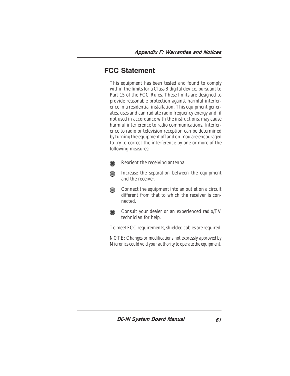### FCC Statement

This equipment has been tested and found to comply within the limits for a Class B digital device, pursuant to Part 15 of the FCC Rules. These limits are designed to provide reasonable protection against harmful interference in a residential installation. This equipment generates, uses and can radiate radio frequency energy and, if not used in accordance with the instructions, may cause harmful interference to radio communications. Interference to radio or television reception can be determined by turning the equipment off and on. You are encouraged to try to correct the interference by one or more of the following measures:

- Reorient the receiving antenna. ⋒
- Increase the separation between the equipment and the receiver.
- Connect the equipment into an outlet on a circuit ⋒ different from that to which the receiver is connected.
- Consult your dealer or an experienced radio/TV ⋒ technician for help.

To meet FCC requirements, shielded cables are required.

*NOTE: Changes or modifications not expressly approved by Micronics could void your authority to operate the equipment.*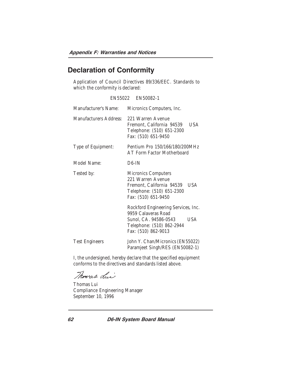### Declaration of Conformity

Application of Council Directives 89/336/EEC. Standards to which the conformity is declared:

EN55022 EN50082-1

| Manufacturer's Name:   | Micronics Computers, Inc.                                                                                                                      |
|------------------------|------------------------------------------------------------------------------------------------------------------------------------------------|
| Manufacturers Address: | 221 Warren Avenue<br>Fremont, California 94539<br>USA<br>Telephone: (510) 651-2300<br>Fax: (510) 651-9450                                      |
| Type of Equipment:     | Pentium Pro 150/166/180/200MHz<br>AT Form Factor Motherboard                                                                                   |
| Model Name:            | $D6$ -IN                                                                                                                                       |
| Tested by:             | <b>Micronics Computers</b><br>221 Warren Avenue<br>Fremont, California 94539<br>USA<br>Telephone: (510) 651-2300<br>Fax: (510) 651-9450        |
|                        | Rockford Engineering Services, Inc.<br>9959 Calaveras Road<br>Sunol, CA. 94586-0543<br>USA<br>Telephone: (510) 862-2944<br>Fax: (510) 862-9013 |
| <b>Test Engineers</b>  | John Y. Chan/Micronics (EN55022)<br>Paramjeet Singh/RES (EN50082-1)                                                                            |

I, the undersigned, hereby declare that the specified equipment conforms to the directives and standards listed above.

Thomas dui

Thomas Lui Compliance Engineering Manager September 10, 1996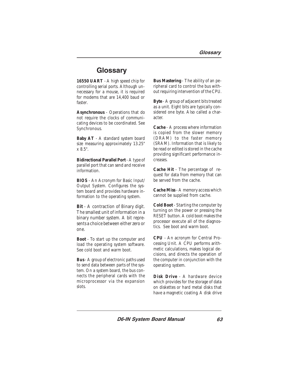### **Glossary**

**16550 UART** - A high speed chip for controlling serial ports. Although unnecessary for a mouse, it is required for modems that are 14,400 baud or faster.

**Asynchronous** - Operations that do not require the clocks of communicating devices to be coordinated. See Synchronous.

**Baby AT** - A standard system board size measuring approximately 13.25" x 8.5".

**Bidirectional Parallel Port** - A type of parallel port that can send and receive information.

**BIOS** - An Acronym for Basic Input/ Output System. Configures the system board and provides hardware information to the operating system.

**Bit** - A contraction of Binary digit. The smallest unit of information in a binary number system. A bit represents a choice between either zero or one.

**Boot** - To start up the computer and load the operating system software. See cold boot and warm boot.

**Bus** - A group of electronic paths used to send data between parts of the system. On a system board, the bus connects the peripheral cards with the microprocessor via the expansion slots.

**Bus Mastering** - The ability of an peripheral card to control the bus without requiring intervention of the CPU.

**Byte** - A group of adjacent bits treated as a unit. Eight bits are typically considered one byte. Also called a character.

**Cache** - A process where information is copied from the slower memory (DRAM) to the faster memory (SRAM). Information that is likely to be read or edited is stored in the cache providing significant performance increases.

**Cache Hit** - The percentage of request for data from memory that can be served from the cache.

**Cache Miss** - A memory access which cannot be supplied from cache.

**Cold Boot** - Starting the computer by turning on the power or pressing the RESET button. A cold boot makes the processor execute all of the diagnostics. See boot and warm boot.

**CPU** - An acronym for Central Processing Unit. A CPU performs arithmetic calculations, makes logical decisions, and directs the operation of the computer in conjunction with the operating system.

**Disk Drive** - A hardware device which provides for the storage of data on diskettes or hard metal disks that have a magnetic coating. A disk drive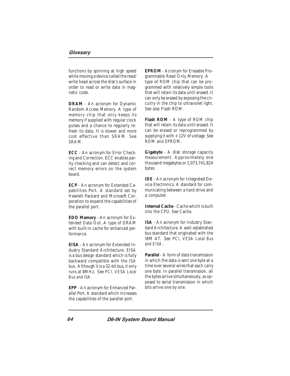functions by spinning at high speed while moving a device called the read/ write head across the disk's surface in order to read or write data in magnetic code.

**DRAM** - An acronym for Dynamic Random Access Memory. A type of memory chip that only keeps its memory if supplied with regular clock pulses and a chance to regularly refresh its data. It is slower and more cost effective than SRAM. See SRAM.

**ECC** - An acronym for Error Checking and Correction. ECC enables parity checking and can detect and correct memory errors on the system board.

**ECP** - An acronym for Extended Capabilities Port. A standard set by Hewlett Packard and Microsoft Corporation to expand the capabilities of the parallel port.

**EDO Memory** - An acronym for Extended Data Out. A type of DRAM with built-in cache for enhanced performance.

**EISA** - An acronym for Extended Industry Standard Architecture. EISA is a bus design standard which is fully backward compatible with the ISA bus. Although it is a 32-bit bus, it only runs at 8MHz. See *PCI, VESA Local Bus and ISA.*

**EPP** - An acronym for Enhanced Parallel Port. A standard which increases the capabilities of the parallel port.

**EPROM** - Acronym for Erasable Programmable Read Only Memory. A type of ROM chip that can be programmed with relatively simple tools that will retain its data until erased. It can only be erased by exposing the circuitry in the chip to ultraviolet light. See also Flash ROM.

**Flash ROM** - A type of ROM chip that will retain its data until erased. It can be erased or reprogrammed by supplying it with  $+12V$  of voltage. See ROM and EPROM.

**Gigabyte** - A disk storage capacity measurement. Approximately one thousand megabytes or 1,073,741,824 bytes.

**IDE** - An acronym for Integrated Device Electronics. A standard for communicating between a hard drive and a computer.

**Internal Cache** - Cache which is built into the CPU. See Cache.

**ISA** - An acronym for Industry Standard Architecture. A well-established bus standard that originated with the IBM AT. See *PCI, VESA Local Bus and EISA.*

**Parallel** - A form of data transmission in which the data is sent one byte at a time over several wires that each carry one byte. In parallel transmission, all the bytes arrive simultaneously, as opposed to serial transmission in which bits arrive one by one.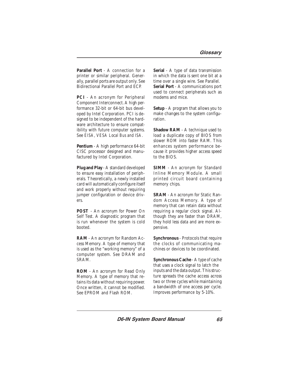**Parallel Port** - A connection for a printer or similar peripheral. Generally, parallel ports are output only. See Bidirectional Parallel Port and ECP.

**PCI** - An acronym for Peripheral Component Interconnect. A high performance 32-bit or 64-bit bus developed by Intel Corporation. PCI is designed to be independent of the hardware architecture to ensure compatibility with future computer systems. See *EISA, VESA Local Bus and ISA.*

**Pentium** - A high performance 64-bit CISC processor designed and manufactured by Intel Corporation.

**Plug and Play** - A standard developed to ensure easy installation of peripherals. Theoretically, a newly installed card will automatically configure itself and work properly without requiring jumper configuration or device drivers.

**POST** - An acronym for Power On Self Test. A diagnostic program that is run whenever the system is cold booted.

**RAM** - An acronym for Random Access Memory. A type of memory that is used as the "working memory" of a computer system. See DRAM and SRAM.

**ROM** - An acronym for Read Only Memory. A type of memory that retains its data without requiring power. Once written, it cannot be modified. See EPROM and Flash ROM.

**Serial** - A type of data transmission in which the data is sent one bit at a time over a single wire. See Parallel. **Serial Port** - A communications port used to connect peripherals such as modems and mice.

**Setup** - A program that allows you to make changes to the system configuration.

**Shadow RAM** - A technique used to load a duplicate copy of BIOS from slower ROM into faster RAM. This enhances system performance because it provides higher access speed to the BIOS.

**SIMM** - An acronym for Standard Inline Memory Module. A small printed circuit board containing memory chips.

**SRAM** - An acronym for Static Random Access Memory. A type of memory that can retain data without requiring a regular clock signal. Although they are faster than DRAM, they hold less data and are more expensive.

**Synchronous** - Protocols that require the clocks of communicating machines or devices to be coordinated.

**Synchronous Cache** - A type of cache that uses a clock signal to latch the inputs and the data output. This structure spreads the cache access across two or three cycles while maintaining a bandwidth of one access per cycle. Improves performance by 5-10%.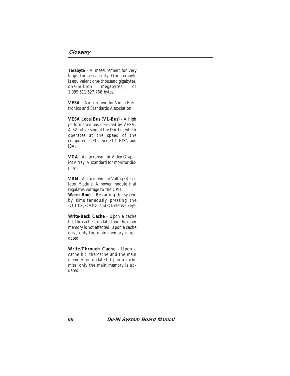#### **Glossary**

**Terabyte** - A measurement for very large storage capacity. One Terabyte is equivalent one-thousand gigabytes, one-million megabytes, or 1,099,511,627,766 bytes.

**VESA** - An acronym for Video Electronics and Standards Association.

**VESA Local Bus (VL-Bus)** - A high performance bus designed by VESA. A 32-bit version of the ISA bus which operates at the speed of the computer's CPU. See *PCI, EISA and ISA.*

**VGA** - An acronym for Video Graphics Array. A standard for monitor displays.

**VRM** - An acronym for Voltage Regulator Module. A power module that regulates voltage to the CPU. **Warm Boot** - Restarting the system by simultaneously pressing the <Ctrl>, <Alt> and <Delete> keys.

**Write-Back Cache** - Upon a cache hit, the cache is updated and the main memory is not affected. Upon a cache miss, only the main memory is updated.

**Write-Through Cache** - Upon a cache hit, the cache and the main memory are updated. Upon a cache miss, only the main memory is updated.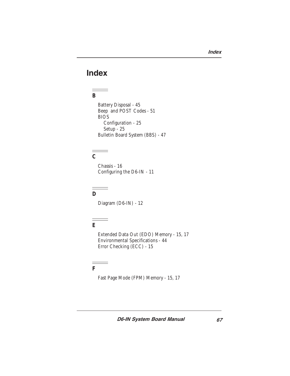# Index

 $\equiv$ 

#### $\equiv$ **B**

Battery Disposal - 45 Beep and POST Codes - 51 BIOS Configuration - 25 Setup - 25 Bulletin Board System (BBS) - 47

#### **C**

Chassis - 16 Configuring the D6-IN - 11

#### $\qquad \qquad \Longrightarrow$ **D**

Diagram (D6-IN) - 12

# **E**

Extended Data Out (EDO) Memory - 15, 17 Environmental Specifications - 44 Error Checking (ECC) - 15

#### **F**

÷

Fast Page Mode (FPM) Memory - 15, 17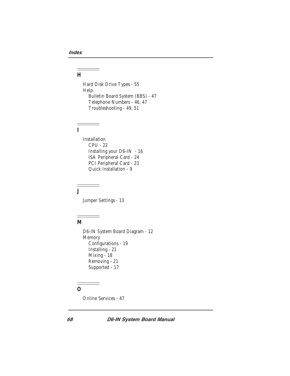#### $\qquad \qquad =$ **H**

 $\sim$ 

 $\overline{\phantom{a}}$ 

Hard Disk Drive Types - 55 Help Bulletin Board System (BBS) - 47 Telephone Numbers - 46, 47 Troubleshooting - 49, 51

#### $=$ **I**

Installation CPU - 22 Installing your D6-IN - 16 ISA Peripheral Card - 24 PCI Peripheral Card - 23 Quick Installation - 9

#### Ξ **J**

Jumper Settings - 13

 $\overline{\phantom{a}}$ 

#### $\equiv$ **M**

D6-IN System Board Diagram - 12 Memory Configurations - 19 Installing - 21 Mixing - 18 Removing - 21 Supported - 17

#### **O**

 $\frac{1}{1} \frac{1}{1} \frac{1}{1} \frac{1}{1} \frac{1}{1} \frac{1}{1} \frac{1}{1} \frac{1}{1} \frac{1}{1} \frac{1}{1} \frac{1}{1} \frac{1}{1} \frac{1}{1} \frac{1}{1} \frac{1}{1} \frac{1}{1} \frac{1}{1} \frac{1}{1} \frac{1}{1} \frac{1}{1} \frac{1}{1} \frac{1}{1} \frac{1}{1} \frac{1}{1} \frac{1}{1} \frac{1}{1} \frac{1}{1} \frac{1}{1} \frac{1}{1} \frac{1}{1} \frac{1}{1} \frac{$ 

Online Services - 47